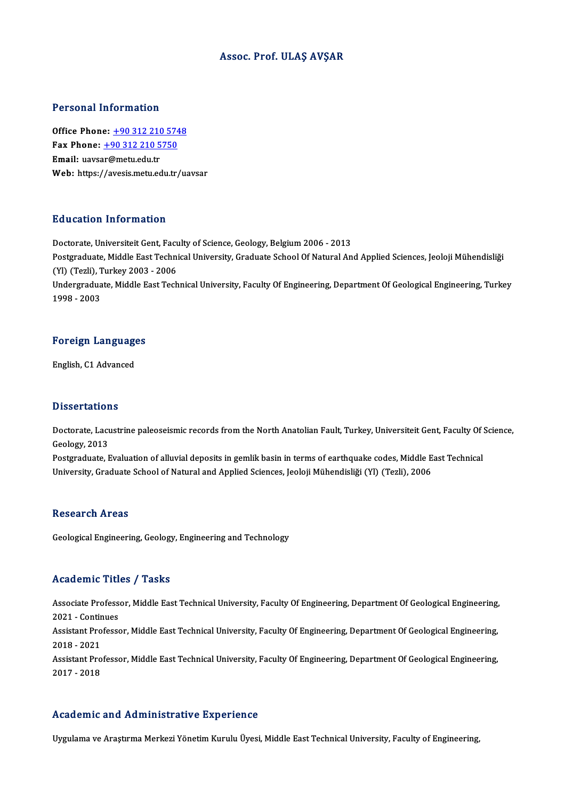### Assoc. Prof. ULAŞ AVŞAR

### Personal Information

**Personal Information<br>Office Phone: +90 312 210 5748<br>Fax Phone: +90 312 210 5750** 1 0100111 11101 1111011<br>
0ffice Phone: <u>+90 312 210 574</u><br>
Fax Phone: <u>+90 312 210 5750</u><br>
Fmail: waysar@maty.edu.tr Office Phone: <u>+90 312 210 5</u><br>Fax Phone: <u>+90 312 210 5</u><br>Email: uavs[ar@metu.edu.tr](tel:+90 312 210 5750) Fax Phone:  $\pm$ 90 312 210 5750<br>Email: uavsar@metu.edu.tr<br>Web: https://avesis.metu.edu.tr/uavsar

### Education Information

Doctorate, Universiteit Gent, Faculty of Science, Geology, Belgium 2006 - 2013 Pu u sutrom Thrommusion<br>Doctorate, Universiteit Gent, Faculty of Science, Geology, Belgium 2006 - 2013<br>Postgraduate, Middle East Technical University, Graduate School Of Natural And Applied Sciences, Jeoloji Mühendisliği Doctorate, Universiteit Gent, Facu<br>Postgraduate, Middle East Techni<br>(Yl) (Tezli), Turkey 2003 - 2006<br>Undergraduate Middle Fest Tech Postgraduate, Middle East Technical University, Graduate School Of Natural And Applied Sciences, Jeoloji Mühendisliği<br>(Yl) (Tezli), Turkey 2003 - 2006<br>Undergraduate, Middle East Technical University, Faculty Of Engineering (Yl) (Tezli), T<br>Undergradua<br>1998 - 2003

# 1998-2003<br>Foreign Languages <mark>Foreign Languag</mark><br>English, C1 Advanced

English, C1 Advanced<br>Dissertations

Dissertations<br>Doctorate, Lacustrine paleoseismic records from the North Anatolian Fault, Turkey, Universiteit Gent, Faculty Of Science,<br>Ceelegy, 2012 Basser cacros<br>Doctorate, Lacu<br>Geology, 2013<br>Postareduate, E Doctorate, Lacustrine paleoseismic records from the North Anatolian Fault, Turkey, Universiteit Gent, Faculty Of<br>Geology, 2013<br>Postgraduate, Evaluation of alluvial deposits in gemlik basin in terms of earthquake codes, Mid

Geology, 2013<br>Postgraduate, Evaluation of alluvial deposits in gemlik basin in terms of earthquake codes, Middle East Technical<br>University, Graduate School of Natural and Applied Sciences, Jeoloji Mühendisliği (Yl) (Tezli)

### **Research Areas**

Geological Engineering, Geology, Engineering and Technology

## Academic Titles / Tasks

**Academic Titles / Tasks**<br>Associate Professor, Middle East Technical University, Faculty Of Engineering, Department Of Geological Engineering,<br>2021 - Continues Associate Profess<br>2021 - Continues<br>Assistant Professe Associate Professor, Middle East Technical University, Faculty Of Engineering, Department Of Geological Engineering,<br>2021 - Continues<br>Assistant Professor, Middle East Technical University, Faculty Of Engineering, Departmen

2021 - Continues<br>Assistant Professor, Middle East Technical University, Faculty Of Engineering, Department Of Geological Engineering,<br>2018 - 2021 Assistant Professor, Middle East Technical University, Faculty Of Engineering, Department Of Geological Engineering,<br>2018 - 2021<br>Assistant Professor, Middle East Technical University, Faculty Of Engineering, Department Of

2018 - 2021<br>Assistant Pro<br>2017 - 2018

# Academic and Administrative Experience

Uygulama ve Araştırma Merkezi Yönetim Kurulu Üyesi, Middle East Technical University, Faculty of Engineering,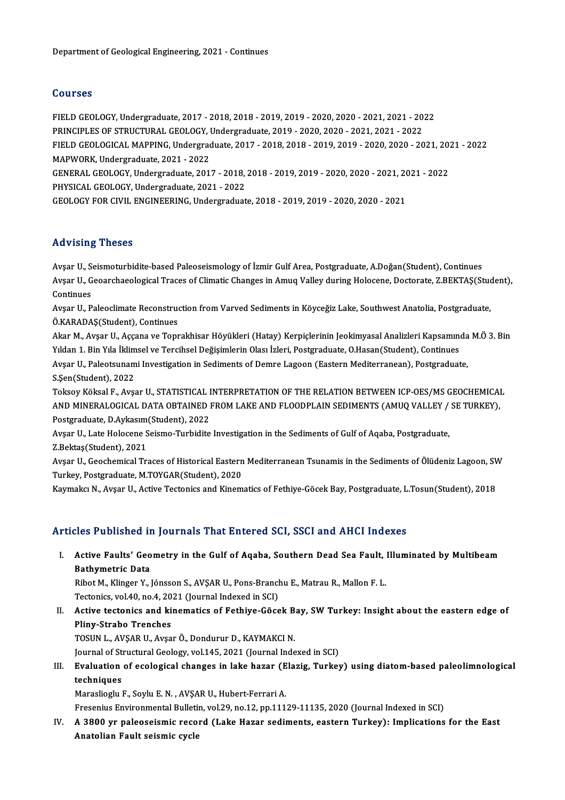## Courses

Courses<br>FIELD GEOLOGY, Undergraduate, 2017 - 2018, 2018 - 2019, 2019 - 2020, 2020 - 2021, 2021 - 2022<br>RRINCIRLES OF STRUCTURAL CEOLOCY, Undergraduate, 2019, 2020, 2020, 2021, 2021, 2022 9941999<br>PIELD GEOLOGY, Undergraduate, 2017 - 2018, 2018 - 2019, 2019 - 2020, 2020 - 2021, 2021 - 20<br>PRINCIPLES OF STRUCTURAL GEOLOGY, Undergraduate, 2019 - 2020, 2020 - 2021, 2021 - 2022<br>FIELD CEOLOGICAL MARRING Undergradu FIELD GEOLOGY, Undergraduate, 2017 - 2018, 2018 - 2019, 2019 - 2020, 2020 - 2021, 2021 - 2022<br>PRINCIPLES OF STRUCTURAL GEOLOGY, Undergraduate, 2019 - 2020, 2020 - 2021, 2021 - 2022<br>FIELD GEOLOGICAL MAPPING, Undergraduate, PRINCIPLES OF STRUCTURAL GEOLOGY, I<br>FIELD GEOLOGICAL MAPPING, Undergrad<br>MAPWORK, Undergraduate, 2021 - 2022<br>CENERAL CEOLOGY, Undergraduate, 201 FIELD GEOLOGICAL MAPPING, Undergraduate, 2017 - 2018, 2018 - 2019, 2019 - 2020, 2020 - 2021, 20:<br>MAPWORK, Undergraduate, 2021 - 2022<br>GENERAL GEOLOGY, Undergraduate, 2017 - 2018, 2018 - 2019, 2019 - 2020, 2020 - 2021, 2021 MAPWORK, Undergraduate, 2021 - 2022<br>GENERAL GEOLOGY, Undergraduate, 2017 - 2018, 2018 - 2019, 2019 - 2020, 2020 - 2021, 2021 - 2022<br>PHYSICAL GEOLOGY, Undergraduate, 2021 - 2022 GEOLOGYFORCIVIL ENGINEERING,Undergraduate,2018 -2019,2019 -2020,2020 -2021

## Advising Theses

Advising Theses<br>Avşar U., Seismoturbidite-based Paleoseismology of İzmir Gulf Area, Postgraduate, A.Doğan(Student), Continues<br>Avgar U. Geograbaselegisel Trasse of Climatie Changes in Amus Valley during Helesene, Destenta, rta v forng "Trobees"<br>Avşar U., Seismoturbidite-based Paleoseismology of İzmir Gulf Area, Postgraduate, A.Doğan(Student), Continues<br>Avşar U., Geoarchaeological Traces of Climatic Changes in Amuq Valley during Holocene, Doc Avşar U., S<br>Avşar U., G<br>Continues<br>Avsar U. B Avşar U., Geoarchaeological Traces of Climatic Changes in Amuq Valley during Holocene, Doctorate, Z.BEKTAŞ(Stud<br>Continues<br>Avşar U., Paleoclimate Reconstruction from Varved Sediments in Köyceğiz Lake, Southwest Anatolia, Po

Continues<br>Avşar U., Paleoclimate Reconstruction from Varved Sediments in Köyceğiz Lake, Southwest Anatolia, Postgraduate,<br>Ö.KARADAŞ(Student), Continues Avşar U., Paleoclimate Reconstruction from Varved Sediments in Köyceğiz Lake, Southwest Anatolia, Postgraduate,<br>Ö.KARADAŞ(Student), Continues<br>Akar M., Avşar U., Aççana ve Toprakhisar Höyükleri (Hatay) Kerpiçlerinin Jeokimy

Ö.KARADAŞ(Student), Continues<br>Akar M., Avşar U., Aççana ve Toprakhisar Höyükleri (Hatay) Kerpiçlerinin Jeokimyasal Analizleri Kapsamını<br>Yıldan 1. Bin Yıla İklimsel ve Tercihsel Değişimlerin Olası İzleri, Postgraduate, O.Ha Akar M., Avşar U., Aççana ve Toprakhisar Höyükleri (Hatay) Kerpiçlerinin Jeokimyasal Analizleri Kapsamında<br>Yıldan 1. Bin Yıla İklimsel ve Tercihsel Değişimlerin Olası İzleri, Postgraduate, O.Hasan(Student), Continues<br>Avşar

Yıldan 1. Bin Yıla İklimsel ve Tercihsel Değişimlerin Olası İzleri, Postgraduate, O.Hasan(Student), Continues<br>Avşar U., Paleotsunami Investigation in Sediments of Demre Lagoon (Eastern Mediterranean), Postgraduate,<br>S.Şen(S

Toksoy Köksal F., Avşar U., STATISTICAL INTERPRETATION OF THE RELATION BETWEEN ICP-OES/MS GEOCHEMICAL S.Şen(Student), 2022<br>Toksoy Köksal F., Avşar U., STATISTICAL INTERPRETATION OF THE RELATION BETWEEN ICP-OES/MS GEOCHEMICAI<br>AND MINERALOGICAL DATA OBTAINED FROM LAKE AND FLOODPLAIN SEDIMENTS (AMUQ VALLEY / SE TURKEY),<br>Rests Toksoy Köksal F., Avşar U., STATISTICAL I<br>AND MINERALOGICAL DATA OBTAINED I<br>Postgraduate, D.Aykasım(Student), 2022<br>Avsar II. Lata Holosane Scisme Turbidite AND MINERALOGICAL DATA OBTAINED FROM LAKE AND FLOODPLAIN SEDIMENTS (AMUQ VALLEY /<br>Postgraduate, D.Aykasım(Student), 2022<br>Avşar U., Late Holocene Seismo-Turbidite Investigation in the Sediments of Gulf of Aqaba, Postgraduat

Postgraduate, D.Aykasım(Student), 2022<br>Avşar U., Late Holocene Seismo-Turbidite Investigation in the Sediments of Gulf of Aqaba, Postgraduate,<br>Z.Bektaş(Student), 2021

Avşar U., Late Holocene Seismo-Turbidite Investigation in the Sediments of Gulf of Aqaba, Postgraduate,<br>Z.Bektaş(Student), 2021<br>Avşar U., Geochemical Traces of Historical Eastern Mediterranean Tsunamis in the Sediments of Z.Bektaş(Student), 2021<br>Avşar U., Geochemical Traces of Historical Eastern<br>Turkey, Postgraduate, M.TOYGAR(Student), 2020<br>Kaymaka: N., Avsar II., Astive Testonics and Kinem Avşar U., Geochemical Traces of Historical Eastern Mediterranean Tsunamis in the Sediments of Ölüdeniz Lagoon, SV<br>Turkey, Postgraduate, M.TOYGAR(Student), 2020<br>Kaymakcı N., Avşar U., Active Tectonics and Kinematics of Feth

Kaymakcı N., Avşar U., Active Tectonics and Kinematics of Fethiye-Göcek Bay, Postgraduate, L.Tosun(Student), 2018<br>Articles Published in Journals That Entered SCI, SSCI and AHCI Indexes

rticles Published in Journals That Entered SCI, SSCI and AHCI Indexes<br>I. Active Faults' Geometry in the Gulf of Aqaba, Southern Dead Sea Fault, Illuminated by Multibeam<br>Rathymatris Data Active Faults' Geo<br>Bathymetric Data<br>Bibot M. Klinger V. Active Faults' Geometry in the Gulf of Aqaba, Southern Dead Sea Fault, <br>Bathymetric Data<br>Ribot M., Klinger Y., Jónsson S., AVŞAR U., Pons-Branchu E., Matrau R., Mallon F. L.<br>Testaniss vol.40, no.4, 2021 (Journal Indoved in

Bathymetric Data<br>Ribot M., Klinger Y., Jónsson S., AVŞAR U., Pons-Branch<br>Tectonics, vol.40, no.4, 2021 (Journal Indexed in SCI)<br>Active tectonies and kinematies of Fethive Göse

Ribot M., Klinger Y., Jónsson S., AVŞAR U., Pons-Branchu E., Matrau R., Mallon F. L.<br>Tectonics, vol.40, no.4, 2021 (Journal Indexed in SCI)<br>II. Active tectonics and kinematics of Fethiye-Göcek Bay, SW Turkey: Insight about Tectonics, vol.40, no.4, 20<br>Active tectonics and ki<br>Pliny-Strabo Trenches<br>TOSUN LAVSAR ULAVS Active tectonics and kinematics of Fethiye-Göcek B<br>Pliny-Strabo Trenches<br>TOSUN L., AVŞAR U., Avşar Ö., Dondurur D., KAYMAKCI N.<br>Journal of Strugtural Coology vol 145, 2021 (Journal Indo Pli<mark>ny-Strabo Trenches</mark><br>TOSUN L., AVŞAR U., Avşar Ö., Dondurur D., KAYMAKCI N.<br>Journal of Structural Geology, vol.145, 2021 (Journal Indexed in SCI)<br>Fyrslustion of esologisel shanges in lake bager (Flagig, Tunker

TOSUN L., AVŞAR U., Avşar Ö., Dondurur D., KAYMAKCI N.<br>Journal of Structural Geology, vol.145, 2021 (Journal Indexed in SCI)<br>III. Evaluation of ecological changes in lake hazar (Elazig, Turkey) using diatom-based paleo Journal of St<br><mark>Evaluation</mark><br>techniques<br>Marasliazhu Evaluation of ecological changes in lake hazar (E<br>techniques<br>Maraslioglu F., Soylu E.N. , AVŞAR U., Hubert-Ferrari A.<br>Fresenius Environmental Bullatin val 20.ne 12.np 1111 techniques<br>Maraslioglu F., Soylu E. N. , AVŞAR U., Hubert-Ferrari A.<br>Fresenius Environmental Bulletin, vol.29, no.12, pp.11129-11135, 2020 (Journal Indexed in SCI)

Maraslioglu F., Soylu E. N. , AVŞAR U., Hubert-Ferrari A.<br>Fresenius Environmental Bulletin, vol.29, no.12, pp.11129-11135, 2020 (Journal Indexed in SCI)<br>IV. A 3800 yr paleoseismic record (Lake Hazar sediments, eastern Fresenius Environmental Bulletii<br>A 3800 yr paleoseismic recoi<br>Anatolian Fault seismic cycle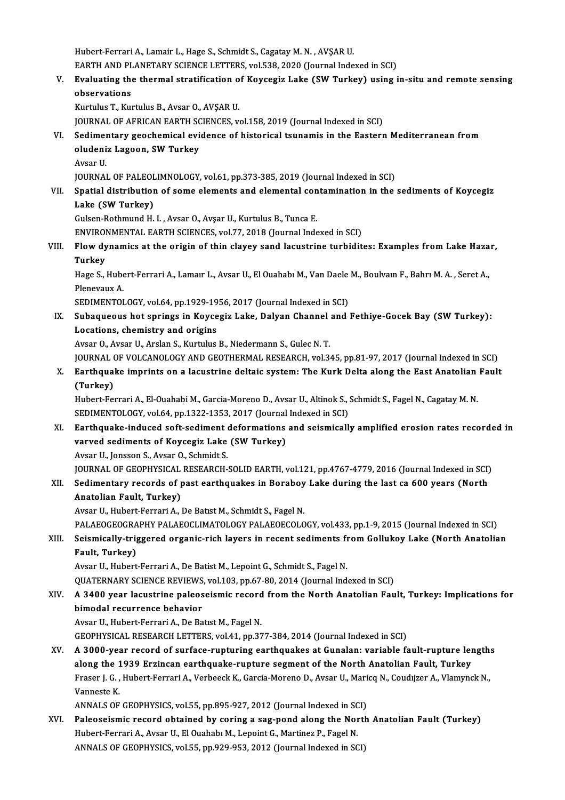Hubert-Ferrari A., Lamair L., Hage S., Schmidt S., Cagatay M. N., AVŞAR U. Hubert-Ferrari A., Lamair L., Hage S., Schmidt S., Cagatay M. N. , AVŞAR U.<br>EARTH AND PLANETARY SCIENCE LETTERS, vol.538, 2020 (Journal Indexed in SCI)<br>Evaluating the thermal stratification of Kovsegiz Lake (SW Turkey) usi

V. Evaluating the thermal stratification of Koycegiz Lake (SWTurkey) using in-situ and remote sensing EARTH AND PL<br>Evaluating the<br>observations<br>Eurthhe T. Eur

Kurtulus T., Kurtulus B., Avsar O., AVŞAR U.

JOURNAL OF AFRICAN EARTH SCIENCES, vol.158, 2019 (Journal Indexed in SCI)

# Kurtulus T., Kurtulus B., Avsar O., AVŞAR U.<br>JOURNAL OF AFRICAN EARTH SCIENCES, vol.158, 2019 (Journal Indexed in SCI)<br>VI. Sedimentary geochemical evidence of historical tsunamis in the Eastern Mediterranean from JOURNAL OF AFRICAN EARTH SC<br>Sedimentary geochemical evi<br>oludeniz Lagoon, SW Turkey<br>Avsar II S<mark>edimer</mark><br>oludeni<br>Avsar U.<br>IOUPNAI

oludeniz Lagoon, SW Turkey<br>Avsar U.<br>JOURNAL OF PALEOLIMNOLOGY, vol.61, pp.373-385, 2019 (Journal Indexed in SCI)

# Avsar U.<br>JOURNAL OF PALEOLIMNOLOGY, vol.61, pp.373-385, 2019 (Journal Indexed in SCI)<br>VII. Spatial distribution of some elements and elemental contamination in the sediments of Koycegiz<br>Leke (SW Turkey) JOURNAL OF PALEOL<br>Spatial distributior<br>Lake (SW Turkey)<br>Culsen Pethmund H Spatial distribution of some elements and elemental con<br>Lake (SW Turkey)<br>Gulsen-Rothmund H. I. , Avsar O., Avşar U., Kurtulus B., Tunca E.<br>ENWRONMENTAL EARTH SCIENCES vol 77–2019 (Journal Inde Lake (SW Turkey)<br>Gulsen-Rothmund H. I. , Avsar O., Avşar U., Kurtulus B., Tunca E.<br>ENVIRONMENTAL EARTH SCIENCES, vol.77, 2018 (Journal Indexed in SCI)<br>Flow dynamics at the enigin of thin slavey sand lasustring turbidit

Gulsen-Rothmund H. I. , Avsar O., Avsar U., Kurtulus B., Tunca E.<br>ENVIRONMENTAL EARTH SCIENCES, vol.77, 2018 (Journal Indexed in SCI)<br>VIII. Flow dynamics at the origin of thin clayey sand lacustrine turbidites: Examples fr ENVIROI<br>Flow dy<br>Turkey<br>Hage S Flow dynamics at the origin of thin clayey sand lacustrine turbidites: Examples from Lake Haza<br>Turkey<br>Hage S., Hubert-Ferrari A., Lamaır L., Avsar U., El Ouahabı M., Van Daele M., Boulvaın F., Bahrı M. A. , Seret A.,<br>Plane

**Turkey<br>Hage S., Hube<br>Plenevaux A.<br>SEDIMENTOL** Hage S., Hubert-Ferrari A., Lamaır L., Avsar U., El Ouahabı M., Van Daele<br>Plenevaux A.<br>SEDIMENTOLOGY, vol.64, pp.1929-1956, 2017 (Journal Indexed in SCI)<br>Subaqueous bet ensings in Kovsegiz Lake, Dalyan Channel and

Plenevaux A.<br>SEDIMENTOLOGY, vol.64, pp.1929-1956, 2017 (Journal Indexed in SCI)<br>IX. Subaqueous hot springs in Koycegiz Lake, Dalyan Channel and Fethiye-Gocek Bay (SW Turkey):<br>I ocations, shomistyy and origins SEDIMENTOLOGY, vol.64, pp.1929-19<br>Subaqueous hot springs in Koyce<br>Locations, chemistry and origins<br>Aycar O. Aycar II, Arclan S. Kurtulus Subaqueous hot springs in Koycegiz Lake, Dalyan Channel<br>Locations, chemistry and origins<br>Avsar O., Avsar U., Arslan S., Kurtulus B., Niedermann S., Gulec N.T.<br>JOUPMAL OF VOLGANOLOCY AND CEOTHEPMAL PESEARCH .vol 3 Locations, chemistry and origins<br>Avsar O., Avsar U., Arslan S., Kurtulus B., Niedermann S., Gulec N. T.<br>JOURNAL OF VOLCANOLOGY AND GEOTHERMAL RESEARCH, vol.345, pp.81-97, 2017 (Journal Indexed in SCI)<br>Farthauake imprints o

Avsar O., Avsar U., Arslan S., Kurtulus B., Niedermann S., Gulec N. T.<br>JOURNAL OF VOLCANOLOGY AND GEOTHERMAL RESEARCH, vol.345, pp.81-97, 2017 (Journal Indexed in SCI)<br>X. Earthquake imprints on a lacustrine deltaic system: JOURNAL<br>Earthqua<br>(Turkey)<br><sup>Hubort Eo:</sup> X. Earthquake imprints on a lacustrine deltaic system: The Kurk Delta along the East Anatolian Fault<br>(Turkey)<br>Hubert-Ferrari A., El-Ouahabi M., Garcia-Moreno D., Avsar U., Altinok S., Schmidt S., Fagel N., Cagatay M. N.<br>SE

Hubert-Ferrari A., El-Ouahabi M., Garcia-Moreno D., Avsar U., Altinok S., Schmidt S., Fagel N., Cagatay M. N.

XI. Earthquake-induced soft-sediment deformations and seismically amplified erosion rates recorded in SEDIMENTOLOGY, vol.64, pp.1322-1353, 2017 (Journal<br>Earthquake-induced soft-sediment deformations<br>varved sediments of Koycegiz Lake (SW Turkey)<br>Avear U. Jonsson S. Avear O. Schmidt S. Earthquake-induced soft-sediment<br>varved sediments of Koycegiz Lake<br>Avsar U., Jonsson S., Avsar O., Schmidt S.<br>JOUPMAL OE CEOPHYSICAL PESEARCH

Avsar U., Jonsson S., Avsar O., Schmidt S.<br>JOURNAL OF GEOPHYSICAL RESEARCH-SOLID EARTH, vol.121, pp.4767-4779, 2016 (Journal Indexed in SCI)

Avsar U., Jonsson S., Avsar O., Schmidt S.<br>JOURNAL OF GEOPHYSICAL RESEARCH-SOLID EARTH, vol.121, pp.4767-4779, 2016 (Journal Indexed in SCI)<br>XII. Sedimentary records of past earthquakes in Boraboy Lake during the last ca 6 Anatolian Fault, Turkey)<br>Avsar U., Hubert-Ferrari A., De Batist M., Schmidt S., Fagel N. Sedimentary records of past earthquakes in Boraboy<br>Anatolian Fault, Turkey)<br>Avsar U., Hubert-Ferrari A., De Batıst M., Schmidt S., Fagel N.<br>PALAEOGEOGRAPHY PALAEOGLIMATOLOGY PALAEOEGOLO Anatolian Fault, Turkey)<br>Avsar U., Hubert-Ferrari A., De Batıst M., Schmidt S., Fagel N.<br>PALAEOGEOGRAPHY PALAEOCLIMATOLOGY PALAEOECOLOGY, vol.433, pp.1-9, 2015 (Journal Indexed in SCI)<br>Seismiselly, trissered ersenis rish l

# XIII. Seismically-triggered organic-rich layers in recent sediments from Gollukoy Lake (North Anatolian Fault, Turkey) PALAEOGEOGRA<br>Seismically-trig<br>Fault, Turkey)<br>Avser U. Hubert

Avsar U., Hubert-Ferrari A., De Batist M., Lepoint G., Schmidt S., Fagel N.

QUATERNARY SCIENCE REVIEWS, vol.103, pp.67-80, 2014 (Journal Indexed in SCI)

# Avsar U., Hubert-Ferrari A., De Batist M., Lepoint G., Schmidt S., Fagel N.<br>QUATERNARY SCIENCE REVIEWS, vol.103, pp.67-80, 2014 (Journal Indexed in SCI)<br>XIV. A 3400 year lacustrine paleoseismic record from the North An bimodal recurrence behavior<br>Avsar U., Hubert-Ferrari A., De Batist M., Fagel N. A 3400 year lacustrine paleoseismic record<br>bimodal recurrence behavior<br>Avsar U., Hubert-Ferrari A., De Batıst M., Fagel N.<br>CEOPHYSICAL RESEARCH LETTERS vol 41 nn 27

GEOPHYSICAL RESEARCH LETTERS, vol.41, pp.377-384, 2014 (Journal Indexed in SCI)

XV. A 3000-year record of surface-rupturing earthquakes at Gunalan: variable fault-rupture lengths GEOPHYSICAL RESEARCH LETTERS, vol.41, pp.377-384, 2014 (Journal Indexed in SCI)<br>A 3000-year record of surface-rupturing earthquakes at Gunalan: variable fault-rupture lei<br>along the 1939 Erzincan earthquake-rupture segment A 3000-year record of surface-rupturing earthquakes at Gunalan: variable fault-rupture length:<br>along the 1939 Erzincan earthquake-rupture segment of the North Anatolian Fault, Turkey<br>Fraser J. G. , Hubert-Ferrari A., Verbe along the 1<br>Fraser J. G.,<br>Vanneste K.<br>ANNAI S.OE Fraser J. G. , Hubert-Ferrari A., Verbeeck K., Garcia-Moreno D., Avsar U., Mari<br>Vanneste K.<br>ANNALS OF GEOPHYSICS, vol.55, pp.895-927, 2012 (Journal Indexed in SCI)<br>Peleoseismis reserd obtained by sering a seg nend along th

ANNALS OF GEOPHYSICS, vol.55, pp.895-927, 2012 (Journal Indexed in SCI)

Vanneste K.<br>ANNALS OF GEOPHYSICS, vol.55, pp.895-927, 2012 (Journal Indexed in SCI)<br>XVI. Paleoseismic record obtained by coring a sag-pond along the North Anatolian Fault (Turkey)<br>Hubert-Ferrari A., Avsar U., El Ouahabı M. ANNALS OF GEOPHYSICS, vol.55, pp.929-953, 2012 (Journal Indexed in SCI)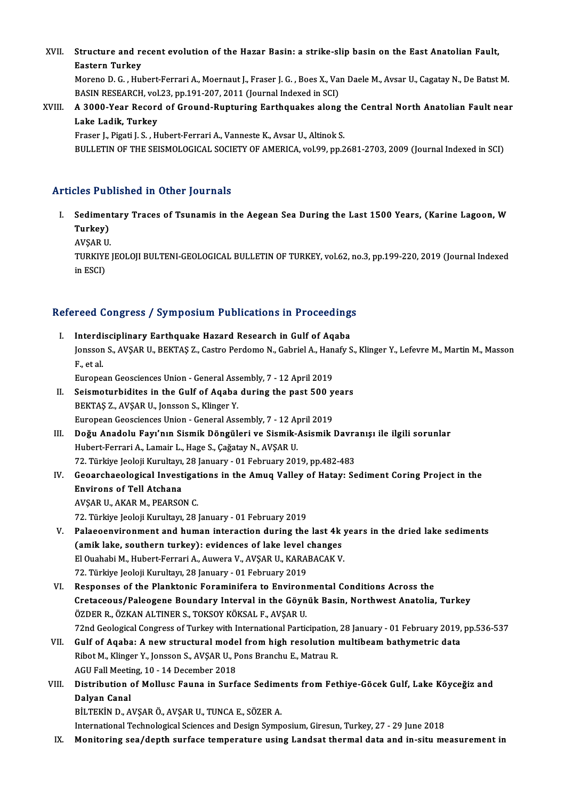XVII. Structure and recent evolution of the Hazar Basin: a strike-slip basin on the East Anatolian Fault,<br>Festern Turkey **Structure and re**<br>Eastern Turkey<br>Morene D.C., <sup>Hyl</sup> Structure and recent evolution of the Hazar Basin: a strike-slip basin on the East Anatolian Fault,<br>Eastern Turkey<br>Moreno D.G., Hubert-Ferrari A., Moernaut J., Fraser J.G., Boes X., Van Daele M., Avsar U., Cagatay N., De B

Eastern Turkey<br>Moreno D. G. , Hubert-Ferrari A., Moernaut J., Fraser J. G. , Boes X., Va:<br>BASIN RESEARCH, vol.23, pp.191-207, 2011 (Journal Indexed in SCI)<br>A 2000 Year Basard of Cround Bunturing Forthoughes alang

# Moreno D. G. , Hubert-Ferrari A., Moernaut J., Fraser J. G. , Boes X., Van Daele M., Avsar U., Cagatay N., De Batist M.<br>BASIN RESEARCH, vol.23, pp.191-207, 2011 (Journal Indexed in SCI)<br>XVIII. A 3000-Year Record of Gro BASIN RESEARCH, vol<br>A 3000-Year Record<br>Lake Ladik, Turkey<br>Erasor L Bisati L S - H

Fraser J., Pigati J. S., Hubert-Ferrari A., Vanneste K., Avsar U., Altinok S.

BULLETIN OF THE SEISMOLOGICAL SOCIETY OF AMERICA, vol.99, pp.2681-2703, 2009 (Journal Indexed in SCI)

## Articles Published in Other Journals

rticles Published in Other Journals<br>I. Sedimentary Traces of Tsunamis in the Aegean Sea During the Last 1500 Years, (Karine Lagoon, W<br>Turkey) Sedimen<br>Turkey)<br>AVSAR U Sediment<br>Turkey)<br>AVŞAR U.<br>TURKIYE

Turkey)<br>AVŞAR U.<br>TURKIYE JEOLOJI BULTENI-GEOLOGICAL BULLETIN OF TURKEY, vol.62, no.3, pp.199-220, 2019 (Journal Indexed<br>in ESCD. AVŞAR U<br>TURKIYE<br>in ESCI)

# m esci)<br>Refereed Congress / Symposium Publications in Proceedings

efereed Congress / Symposium Publications in Proceeding<br>I. Interdisciplinary Earthquake Hazard Research in Gulf of Aqaba<br>Jonsson S. AVSAR II, REKTAS Z. Cestre Berdeme N. Cebriel A. Hanafy S. I Sou Gongress / Sympesium I usheutishs in I receeuings<br>Interdisciplinary Earthquake Hazard Research in Gulf of Aqaba<br>Jonsson S., AVŞAR U., BEKTAŞ Z., Castro Perdomo N., Gabriel A., Hanafy S., Klinger Y., Lefevre M., Marti I<mark>nterdi</mark><br>Jonsson<br>F., et al.<br>Europes Jonsson S., AVŞAR U., BEKTAŞ Z., Castro Perdomo N., Gabriel A., Han<br>F., et al.<br>European Geosciences Union - General Assembly, 7 - 12 April 2019<br>Seismoturbidites in the Gulf of Asebe during the pest 500 v

F., et al.<br>European Geosciences Union - General Assembly, 7 - 12 April 2019<br>II. Seismoturbidites in the Gulf of Aqaba during the past 500 years

BEKTAŞ Z., AVŞAR U., Jonsson S., Klinger Y. Seismoturbidites in the Gulf of Aqaba during the past 500 y<br>BEKTAŞ Z., AVŞAR U., Jonsson S., Klinger Y.<br>European Geosciences Union - General Assembly, 7 - 12 April 2019<br>Değu Anadelu Feuv'nın Siemik Döngüleri ve Siemik Asie

III. Doğu Anadolu Fayı'nın Sismik Döngüleri ve Sismik-Asismik Davranışı ile ilgili sorunlar<br>Hubert-Ferrari A., Lamair L., Hage S., Çağatay N., AVŞAR U. European Geosciences Union - General Assembly, 7 - 12 A<sub>I</sub><br>Doğu Anadolu Fayı'nın Sismik Döngüleri ve Sismik-,<br>Hubert-Ferrari A., Lamair L., Hage S., Çağatay N., AVŞAR U.<br>72 Türkiye Joolaji Kurultayı 28 January, -01 Februar Doğu Anadolu Fayı'nın Sismik Döngüleri ve Sismik-Asismik Davra<br>Hubert-Ferrari A., Lamair L., Hage S., Çağatay N., AVŞAR U.<br>72. Türkiye Jeoloji Kurultayı, 28 January - 01 February 2019, pp.482-483<br>Coosyskaselesisel Investis Hubert-Ferrari A., Lamair L., Hage S., Çağatay N., AVŞAR U.<br>72. Türkiye Jeoloji Kurultayı, 28 January - 01 February 2019, pp.482-483<br>IV. Geoarchaeological Investigations in the Amuq Valley of Hatay: Sediment Coring Pro

72. Türkiye Jeoloji Kurultayı,<br>Geoarchaeological Invest<br>Environs of Tell Atchana<br>AVSAR IL AKAR M. PEARSO **Geoarchaeological Investigat<br>Environs of Tell Atchana<br>AVŞAR U., AKAR M., PEARSON C.<br>72. Türkiye keleli Kurultan 28.** Environs of Tell Atchana<br>AVŞAR U., AKAR M., PEARSON C.<br>72. Türkiye Jeoloji Kurultayı, 28 January - 01 February 2019

- V. Palaeoenvironment and human interaction during the last 4k years in the dried lake sediments 72. Türkiye Jeoloji Kurultayı, 28 January - 01 February 2019<br>Palaeoenvironment and human interaction during the last 4k<br>(amik lake, southern turkey): evidences of lake level changes<br>El Quababi M. Hubert Ferreri A. Auwere V Palaeoenvironment and human interaction during the last 4k y<br>(amik lake, southern turkey): evidences of lake level changes<br>El Quahabi M., Hubert-Ferrari A., Auwera V., AVŞAR U., KARABACAK V.<br>72. Türkiye leoloji Kurultarı, (amik lake, southern turkey): evidences of lake level (<br>El Ouahabi M., Hubert-Ferrari A., Auwera V., AVŞAR U., KARA<br>72. Türkiye Jeoloji Kurultayı, 28 January - 01 February 2019<br>Bespenses of the Blanktonis Fereminifers te E El Ouahabi M., Hubert-Ferrari A., Auwera V., AVŞAR U., KARABACAK V.<br>72. Türkiye Jeoloji Kurultayı, 28 January - 01 February 2019<br>VI. Responses of the Planktonic Foraminifera to Environmental Conditions Across the<br>Cratageou
- 72. Türkiye Jeoloji Kurultayı, 28 January 01 February 2019<br>Responses of the Planktonic Foraminifera to Environmental Conditions Across the<br>Cretaceous/Paleogene Boundary Interval in the Göynük Basin, Northwest Anatolia, T Responses of the Planktonic Foraminifera to Environ<br>Cretaceous/Paleogene Boundary Interval in the Göyn<br>ÖZDER R., ÖZKAN ALTINER S., TOKSOY KÖKSAL F., AVŞAR U.<br>72nd Ceological Congress of Turkey with International Partic Cretaceous/Paleogene Boundary Interval in the Göynük Basin, Northwest Anatolia, Turkey<br>ÖZDER R., ÖZKAN ALTINER S., TOKSOY KÖKSAL F., AVŞAR U.<br>72nd Geological Congress of Turkey with International Participation, 28 January ÖZDER R., ÖZKAN ALTINER S., TOKSOY KÖKSAL F., AVŞAR U.<br>72nd Geological Congress of Turkey with International Participation, 28 January - 01 February 2019,<br>VII. Gulf of Aqaba: A new structural model from high resolution mul
- 72nd Geological Congress of Turkey with International Participation,<br>Gulf of Aqaba: A new structural model from high resolution<br>Ribot M., Klinger Y., Jonsson S., AVŞAR U., Pons Branchu E., Matrau R.<br>ACU Fell Meeting 10, 14 Gulf of Aqaba: A new structural mode<br>Ribot M., Klinger Y., Jonsson S., AVŞAR U., P<br>AGU Fall Meeting, 10 - 14 December 2018<br>Distribution of Molluse Foune in Surfa Ribot M., Klinger Y., Jonsson S., AVŞAR U., Pons Branchu E., Matrau R.<br>AGU Fall Meeting, 10 - 14 December 2018<br>VIII. Distribution of Mollusc Fauna in Surface Sediments from Fethiye-Göcek Gulf, Lake Köyceğiz and<br>Dalvan
- AGU Fall Meeti<mark><br>Distribution (</mark><br>Dalyan Canal<br>P<sup>it TEVIN D. 4</sub></sup> Distribution of Mollusc Fauna in Surface Sedime<br>Dalyan Canal<br>BİLTEKİN D., AVŞAR Ö., AVŞAR U., TUNCA E., SÖZER A.<br>International Technological Sciences and Design Sumn Dalyan Canal<br>BİLTEKİN D., AVŞAR Ö., AVŞAR U., TUNCA E., SÖZER A.<br>International Technological Sciences and Design Symposium, Giresun, Turkey, 27 - 29 June 2018

IX. Monitoring sea/depth surface temperature using Landsat thermal data and in-situmeasurement in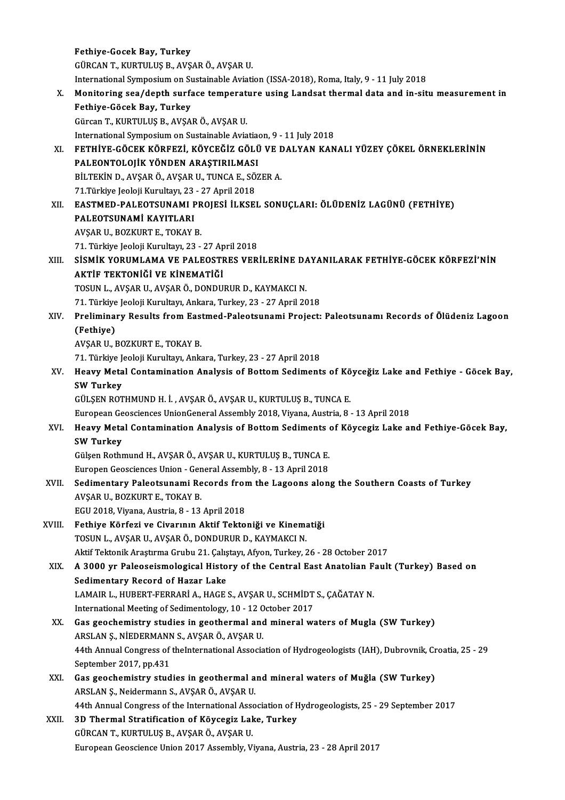Fethiye-Gocek Bay, Turkey GÜRCANT.,KURTULUŞB.,AVŞARÖ.,AVŞARU. Fethiye-Gocek Bay, Turkey<br>GÜRCAN T., KURTULUŞ B., AVŞAR Ö., AVŞAR U.<br>International Symposium on Sustainable Aviation (ISSA-2018), Roma, Italy, 9 - 11 July 2018<br>Monitoning 200 (donth sunfase temperature using Landset therma X. Monitoring sea/depth surface temperature using Landsat thermal data and in-situmeasurement in International Symposium on Su<br>Monitoring sea/depth surfa<br>Fethiye-Göcek Bay, Turkey<br>Gürcan T. KUPTULUS P. AVSA GürcanT.,KURTULUŞB.,AVŞARÖ.,AVŞARU. Fethiye-Göcek Bay, Turkey<br>Gürcan T., KURTULUŞ B., AVŞAR Ö., AVŞAR U.<br>International Symposium on Sustainable Aviatiaon, 9 - 11 July 2018<br>FETHIVE CÖCEK KÖPEEZİ, KÖYCEĞİZ CÖLÜ VE DALYAN KAN Gürcan T., KURTULUŞ B., AVŞAR Ö., AVŞAR U.<br>International Symposium on Sustainable Aviatiaon, 9 - 11 July 2018<br>XI. FETHİYE-GÖCEK KÖRFEZİ, KÖYCEĞİZ GÖLÜ VE DALYAN KANALI YÜZEY ÇÖKEL ÖRNEKLERİNİN<br>RALFONTOLOLIK YÖNDEN ARASTIBL International Symposium on Sustainable Aviatia<br>FETHİYE-GÖCEK KÖRFEZİ, KÖYCEĞİZ GÖLÜ<br>PALEONTOLOJİK YÖNDEN ARAŞTIRILMASI<br>PİLTEKİN D. AVSAR Ö. AVSAR U. TUNGA E. SÖZ FETHİYE-GÖCEK KÖRFEZİ, KÖYCEĞİZ GÖLÜ VE I<br>PALEONTOLOJİK YÖNDEN ARAŞTIRILMASI<br>BİLTEKİN D., AVŞAR Ö., AVŞAR U., TUNCA E., SÖZER A.<br>71 Türkiye looloji Kurultayı, 22, 27 April 2019 PALEONTOLOJİK YÖNDEN ARAŞTIRILMASI<br>BİLTEKİN D., AVŞAR Ö., AVŞAR U., TUNCA E., SÖZER A.<br>71.Türkiye Jeoloji Kurultayı, 23 - 27 April 2018 XI . EASTMED-PALEOTSUNAMI PROJESİ İLKSEL SONUÇLARI: ÖLÜDENİZ LAGÜNÜ (FETHİYE) 71.Türkiye Jeoloji Kurultayı, 23<br>EASTMED-PALEOTSUNAMI F<br>PALEOTSUNAMİ KAYITLARI<br>AVSAR IL POZKURT E. TOKAY I PALEOTSUNAMİ KAYITLARI<br>AVŞAR U., BOZKURT E., TOKAY B. 71. Türkiye Jeoloji Kurultayı, 23 - 27 April 2018 AVŞAR U., BOZKURT E., TOKAY B.<br>71. Türkiye Jeoloji Kurultayı, 23 - 27 April 2018<br>XIII. — SİSMİK YORUMLAMA VE PALEOSTRES VERİLERİNE DAYANILARAK FETHİYE-GÖCEK KÖRFEZİ'NİN<br>AKTİF TEKTONIĞI VE KİNEMATIĞI 71. Türkiye Jeoloji Kurultayı, 23 - 27 Ap<br>SİSMİK YORUMLAMA VE PALEOSTI<br>AKTİF TEKTONİĞİ VE KİNEMATİĞİ<br>TOSUN LAVSAR ULAVSAR Ö DONDU SİSMİK YORUMLAMA VE PALEOSTRES VERİLERİNE D*I*<br>AKTİF TEKTONİĞİ VE KİNEMATİĞİ<br>TOSUN L., AVŞAR U., AVŞAR Ö., DONDURUR D., KAYMAKCI N.<br>71. Türkiye Jeoloji Kurultayı, Ankara Turkey, 22., 27. Anril 20 AKTİF TEKTONİĞİ VE KİNEMATİĞİ<br>TOSUN L., AVŞAR U., AVŞAR Ö., DONDURUR D., KAYMAKCI N.<br>71. Türkiye Jeoloji Kurultayı, Ankara, Turkey, 23 - 27 April 2018<br>Preliminary Besulta fram Fastmed Pelastaynami Prejest: TOSUN L., AVŞAR U., AVŞAR Ö., DONDURUR D., KAYMAKCI N.<br>71. Türkiye Jeoloji Kurultayı, Ankara, Turkey, 23 - 27 April 2018<br>XIV. Preliminary Results from Eastmed-Paleotsunami Project: Paleotsunamı Records of Ölüdeniz Lago 71. Türkiye<br>Prelimina<br>(Fethiye)<br>AVSAR H Preliminary Results from Eas<br>(Fethiye)<br>AVŞAR U., BOZKURT E., TOKAY B.<br>71. Türkiye leeleji Kurultan, Ank (Fethiye)<br>AVŞAR U., BOZKURT E., TOKAY B.<br>71. Türkiye Jeoloji Kurultayı, Ankara, Turkey, 23 - 27 April 2018<br>Heauy Metal Contamination Analysis of Bottom Sadiment AVŞAR U., BOZKURT E., TOKAY B.<br>71. Türkiye Jeoloji Kurultayı, Ankara, Turkey, 23 - 27 April 2018<br>XV. Heavy Metal Contamination Analysis of Bottom Sediments of Köyceğiz Lake and Fethiye - Göcek Bay,<br>SW. Turkey 71. Türkiye J<br>Heavy Meta<br>SW Turkey<br>CÜLSEN POT Heavy Metal Contamination Analysis of Bottom Sediments of Kö<br>SW Turkey<br>GÜLŞEN ROTHMUND H. İ. , AVŞAR Ö., AVŞAR U., KURTULUŞ B., TUNCA E.<br>European Coossianses UnionConaral Assembly 2018, Vivana, Austria, 8. SW Turkey<br>GÜLŞEN ROTHMUND H. İ. , AVŞAR Ö., AVŞAR U., KURTULUŞ B., TUNCA E.<br>European Geosciences UnionGeneral Assembly 2018, Viyana, Austria, 8 - 13 April 2018 XVI. Heavy Metal Contamination Analysis of Bottom Sediments of Köycegiz Lake and Fethiye-Göcek Bay, SWTurkey Heavy Metal Contamination Analysis of Bottom Sediments<br>SW Turkey<br>Gülşen Rothmund H., AVŞAR Ö., AVŞAR U., KURTULUŞ B., TUNCA E.<br>Europen Coossionses Union, Coneral Assembly, 8,, 12 April 2019. SW Turkey<br>Gülşen Rothmund H., AVŞAR Ö., AVŞAR U., KURTULUŞ B., TUNCA E.<br>Europen Geosciences Union - General Assembly, 8 - 13 April 2018<br>Sedimentary Balastaynami Besards fram the Lagaans alan Gülşen Rothmund H., AVŞAR Ö., AVŞAR U., KURTULUŞ B., TUNCA E.<br>Europen Geosciences Union - General Assembly, 8 - 13 April 2018<br>XVII. Sedimentary Paleotsunami Records from the Lagoons along the Southern Coasts of Turkey<br>AVSA Europen Geosciences Union - Ger<br>Sedimentary Paleotsunami Re<br>AVŞAR U., BOZKURT E., TOKAY B.<br>ECU 2019 Vivana Austria 8, 12 Sedimentary Paleotsunami Records from<br>AVŞAR U., BOZKURT E., TOKAY B.<br>EGU 2018, Viyana, Austria, 8 - 13 April 2018<br>Esthive Könferi ve Giverunn, Aktif Tekto AVŞAR U., BOZKURT E., TOKAY B.<br>EGU 2018, Viyana, Austria, 8 - 13 April 2018<br>XVIII. Fethiye Körfezi ve Civarının Aktif Tektoniği ve Kinematiği<br>TOSUN LAVSAR U. AVSAR Ö. DONDUPUR D. KAYMAKCI N EGU 2018, Viyana, Austria, 8 - 13 April 2018<br>Fethiye Körfezi ve Civarının Aktif Tektoniği ve Kinema<br>TOSUN L., AVŞAR U., AVŞAR Ö., DONDURUR D., KAYMAKCI N.<br>Aktif Tektonik Arestuma Cuubu 21 Cekstava Afron Turkey 2 TOSUN L., AVŞAR U., AVŞAR Ö., DONDURUR D., KAYMAKCI N.<br>Aktif Tektonik Araştırma Grubu 21. Çalıştayı, Afyon, Turkey, 26 - 28 October 2017 TOSUN L., AVŞAR U., AVŞAR Ö., DONDURUR D., KAYMAKCI N.<br>Aktif Tektonik Araştırma Grubu 21. Çalıştayı, Afyon, Turkey, 26 - 28 October 2017<br>XIX. A 3000 yr Paleoseismological History of the Central East Anatolian Fault (Tu Aktif Tektonik Araştırma Grubu 21. Çalış<br>A 3000 yr Paleoseismological Histo<br>Sedimentary Record of Hazar Lake<br>LAMAIR L. HURERT EERRARİA, HACE: A 3000 yr Paleoseismological History of the Central East Anatolian F<br>Sedimentary Record of Hazar Lake<br>LAMAIR L., HUBERT-FERRARİ A., HAGE S., AVŞAR U., SCHMİDT S., ÇAĞATAY N.<br>International Meeting of Sedimentalegy 10, 12 Oc Sedimentary Record of Hazar Lake<br>LAMAIR L., HUBERT-FERRARİ A., HAGE S., AVŞAR U., SCHMİDT<br>International Meeting of Sedimentology, 10 - 12 October 2017<br>Cas geoshemistry studies in geothermal and mineral ws LAMAIR L., HUBERT-FERRARI A., HAGE S., AVŞAR U., SCHMIDT S., ÇAĞATAY N.<br>International Meeting of Sedimentology, 10 - 12 October 2017<br>XX. Gas geochemistry studies in geothermal and mineral waters of Mugla (SW Turkey) International Meeting of Sedimentology, 10 - 12 0<br>Gas geochemistry studies in geothermal and<br>ARSLAN Ş., NİEDERMANN S., AVŞAR Ö., AVŞAR U.<br>44th Annual Carewase of the International Associa 44th Annual Congress of theInternational Association of Hydrogeologists (IAH), Dubrovnik, Croatia, 25 - 29<br>September 2017, pp.431 ARSLAN S., NİEDERMANN S., AVŞAR Ö., AVŞAR U. 44th Annual Congress of theInternational Association of Hydrogeologists (IAH), Dubrovnik, Cr<br>September 2017, pp.431<br>XXI. Gas geochemistry studies in geothermal and mineral waters of Muğla (SW Turkey) September 2017, pp.431<br>Gas geochemistry studies in geothermal a<br>ARSLAN Ş., Neidermann S., AVŞAR Ö., AVŞAR U.<br>44th Annual Congress of the International Asso Gas geochemistry studies in geothermal and mineral waters of Muğla (SW Turkey)<br>ARSLAN Ş., Neidermann S., AVŞAR Ö., AVŞAR U.<br>44th Annual Congress of the International Association of Hydrogeologists, 25 - 29 September 2017<br>2 ARSLAN Ş., Neidermann S., AVŞAR Ö., AVŞAR U.<br>44th Annual Congress of the International Association of F.<br>XXII. 3D Thermal Stratification of Köycegiz Lake, Turkey<br>CÜRCAN T. KURTU US P. AVSAR Ö. AVSAR U. 44th Annual Congress of the International Associal Definition of Köycegiz Lak<br>GÜRCAN T., KURTULUŞ B., AVŞAR Ö., AVŞAR U.<br>European Coossianse Union 2017 Assemblu V. 3D Thermal Stratification of Köycegiz Lake, Turkey<br>GÜRCAN T., KURTULUŞ B., AVŞAR Ö., AVŞAR U.<br>European Geoscience Union 2017 Assembly, Viyana, Austria, 23 - 28 April 2017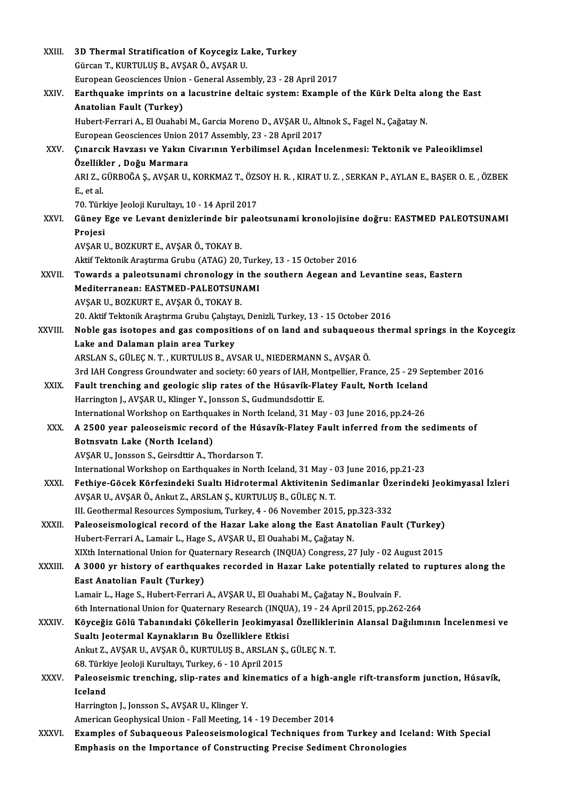| XXIII.       | 3D Thermal Stratification of Koycegiz Lake, Turkey                                                                                                                      |
|--------------|-------------------------------------------------------------------------------------------------------------------------------------------------------------------------|
|              | Gürcan T., KURTULUŞ B., AVŞAR Ö., AVŞAR U.                                                                                                                              |
|              | European Geosciences Union - General Assembly, 23 - 28 April 2017                                                                                                       |
| XXIV.        | Earthquake imprints on a lacustrine deltaic system: Example of the Kürk Delta along the East<br>Anatolian Fault (Turkey)                                                |
|              | Hubert-Ferrari A., El Ouahabi M., Garcia Moreno D., AVŞAR U., Altınok S., Fagel N., Çağatay N.                                                                          |
|              | European Geosciences Union 2017 Assembly, 23 - 28 April 2017                                                                                                            |
| XXV.         | Çınarcık Havzası ve Yakın Civarının Yerbilimsel Açıdan İncelenmesi: Tektonik ve Paleoiklimsel<br>Özellikler, Doğu Marmara                                               |
|              | ARI Z., GÜRBOĞA Ş., AVŞAR U., KORKMAZ T., ÖZSOY H. R. , KIRAT U. Z. , SERKAN P., AYLAN E., BAŞER O. E. , ÖZBEK<br>E, et al.                                             |
|              | 70. Türkiye Jeoloji Kurultayı, 10 - 14 April 2017                                                                                                                       |
| XXVI.        | Güney Ege ve Levant denizlerinde bir paleotsunami kronolojisine doğru: EASTMED PALEOTSUNAMI<br>Projesi                                                                  |
|              | AVŞAR U., BOZKURT E., AVŞAR Ö., TOKAY B.                                                                                                                                |
|              | Aktif Tektonik Araştırma Grubu (ATAG) 20, Turkey, 13 - 15 October 2016                                                                                                  |
| XXVII.       | Towards a paleotsunami chronology in the southern Aegean and Levantine seas, Eastern                                                                                    |
|              | Mediterranean: EASTMED-PALEOTSUNAMI                                                                                                                                     |
|              | AVŞAR U., BOZKURT E., AVŞAR Ö., TOKAY B.                                                                                                                                |
|              | 20. Aktif Tektonik Araştırma Grubu Çalıştayı, Denizli, Turkey, 13 - 15 October 2016                                                                                     |
| XXVIII.      | Noble gas isotopes and gas compositions of on land and subaqueous thermal springs in the Koycegiz                                                                       |
|              | Lake and Dalaman plain area Turkey                                                                                                                                      |
|              | ARSLAN S., GÜLEÇ N. T., KURTULUS B., AVSAR U., NIEDERMANN S., AVŞAR Ö.                                                                                                  |
|              | 3rd IAH Congress Groundwater and society: 60 years of IAH, Montpellier, France, 25 - 29 September 2016                                                                  |
| XXIX.        | Fault trenching and geologic slip rates of the Húsavík-Flatey Fault, North Iceland                                                                                      |
|              | Harrington J., AVŞAR U., Klinger Y., Jonsson S., Gudmundsdottir E.                                                                                                      |
|              | International Workshop on Earthquakes in North Iceland, 31 May - 03 June 2016, pp.24-26                                                                                 |
| XXX.         | A 2500 year paleoseismic record of the Húsavík-Flatey Fault inferred from the sediments of                                                                              |
|              | Botnsvatn Lake (North Iceland)                                                                                                                                          |
|              | AVSAR U., Jonsson S., Geirsdttir A., Thordarson T.                                                                                                                      |
|              | International Workshop on Earthquakes in North Iceland, 31 May - 03 June 2016, pp.21-23                                                                                 |
| XXXI.        | Fethiye-Göcek Körfezindeki Sualtı Hidrotermal Aktivitenin Sedimanlar Üzerindeki Jeokimyasal İzleri<br>AVŞAR U., AVŞAR Ö., Ankut Z., ARSLAN Ş., KURTULUŞ B., GÜLEÇ N. T. |
|              | III. Geothermal Resources Symposium, Turkey, 4 - 06 November 2015, pp.323-332                                                                                           |
| XXXII.       | Paleoseismological record of the Hazar Lake along the East Anatolian Fault (Turkey)                                                                                     |
|              | Hubert-Ferrari A., Lamair L., Hage S., AVŞAR U., El Ouahabi M., Çağatay N.                                                                                              |
|              | XIXth International Union for Quaternary Research (INQUA) Congress, 27 July - 02 August 2015                                                                            |
| XXXIII.      | A 3000 yr history of earthquakes recorded in Hazar Lake potentially related to ruptures along the                                                                       |
|              | East Anatolian Fault (Turkey)                                                                                                                                           |
|              | Lamair L., Hage S., Hubert-Ferrari A., AVŞAR U., El Ouahabi M., Çağatay N., Boulvain F.                                                                                 |
|              | 6th International Union for Quaternary Research (INQUA), 19 - 24 April 2015, pp.262-264                                                                                 |
| <b>XXXIV</b> | Köyceğiz Gölü Tabanındaki Çökellerin Jeokimyasal Özelliklerinin Alansal Dağılımının İncelenmesi ve                                                                      |
|              | Sualtı Jeotermal Kaynakların Bu Özelliklere Etkisi                                                                                                                      |
|              | Ankut Z., AVŞAR U., AVŞAR Ö., KURTULUŞ B., ARSLAN Ş., GÜLEÇ N. T.                                                                                                       |
|              | 68. Türkiye Jeoloji Kurultayı, Turkey, 6 - 10 April 2015                                                                                                                |
| XXXV.        | Paleoseismic trenching, slip-rates and kinematics of a high-angle rift-transform junction, Húsavík,<br>Iceland                                                          |
|              | Harrington J., Jonsson S., AVŞAR U., Klinger Y.                                                                                                                         |
|              | American Geophysical Union - Fall Meeting, 14 - 19 December 2014                                                                                                        |
| XXXVI.       | Examples of Subaqueous Paleoseismological Techniques from Turkey and Iceland: With Special<br>Emphasis on the Importance of Constructing Precise Sediment Chronologies  |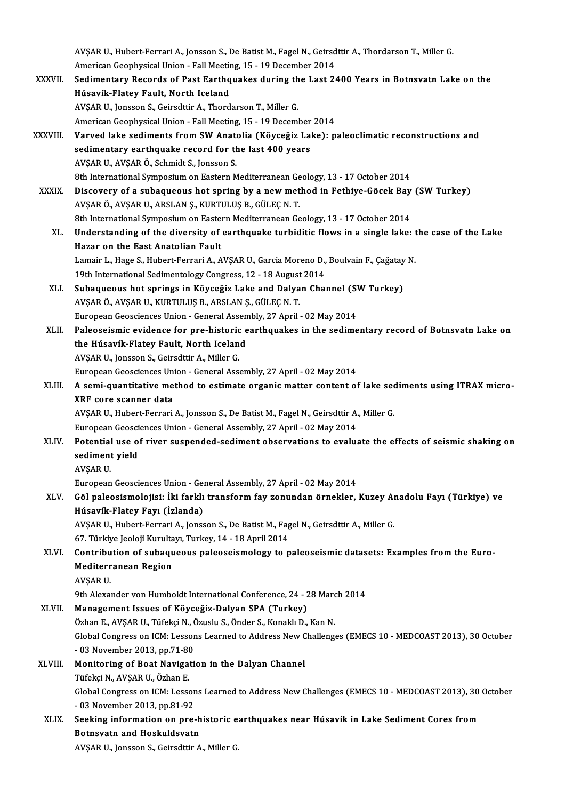AVŞAR U., Hubert-Ferrari A., Jonsson S., De Batist M., Fagel N., Geirsdttir A., Thordarson T., Miller G.<br>Amerisan Ceanhysisel Union - Fell Meeting 15 - 19 Desember 2014 AVŞAR U., Hubert-Ferrari A., Jonsson S., De Batist M., Fagel N., Geirsd<br>American Geophysical Union - Fall Meeting, 15 - 19 December 2014<br>Sedimentary Beserds of Bast Farthauelses during the Lest 3: AVŞAR U., Hubert-Ferrari A., Jonsson S., De Batist M., Fagel N., Geirsdttir A., Thordarson T., Miller G.<br>American Geophysical Union - Fall Meeting, 15 - 19 December 2014<br>XXXVII. Sedimentary Records of Past Earthquakes duri American Geophysical Union - Fall Meeting, 15 - 19 December 2014<br>Sedimentary Records of Past Earthquakes during the Last 2<br>Húsavík-Flatey Fault, North Iceland<br>AVŞAR U., Jonsson S., Geirsdttir A., Thordarson T., Miller G. Sedimentary Records of Past Earthquakes during th<br>Húsavík-Flatey Fault, North Iceland<br>AVŞAR U., Jonsson S., Geirsdttir A., Thordarson T., Miller G.<br>American Coophysical Union, Fall Meeting 15, 19 Decemi American Geophysical Union - Fall Meeting, 15 - 19 December 2014 AVŞAR U., Jonsson S., Geirsdttir A., Thordarson T., Miller G.<br>American Geophysical Union - Fall Meeting, 15 - 19 December 2014<br>XXXVIII. Varved lake sediments from SW Anatolia (Köyceğiz Lake): paleoclimatic reconstructions American Geophysical Union - Fall Meeting, 15 - 19 December<br>Varved lake sediments from SW Anatolia (Köyceğiz La<br>sedimentary earthquake record for the last 400 years<br>AVSAR U. AVSAR Ö. Sehmidt S. Janssan S Varved lake sediments from SW Anate<br>sedimentary earthquake record for th<br>AVŞAR U., AVŞAR Ö., Schmidt S., Jonsson S.<br><sup>9th International Sumnesium on Festern M</sup> sedimentary earthquake record for the last 400 years<br>AVŞAR U., AVŞAR Ö., Schmidt S., Jonsson S.<br>8th International Symposium on Eastern Mediterranean Geology, 13 - 17 October 2014<br>Discovery of a subaqueous bet spring by a n AVŞAR U., AVŞAR Ö., Schmidt S., Jonsson S.<br>8th International Symposium on Eastern Mediterranean Geology, 13 - 17 October 2014<br>XXXIX. Discovery of a subaqueous hot spring by a new method in Fethiye-Göcek Bay (SW Turkey)<br>AVS 8th International Symposium on Eastern Mediterranean Ge<br>Discovery of a subaqueous hot spring by a new met<br>AVŞAR Ö., AVŞAR U., ARSLAN Ş., KURTULUŞ B., GÜLEÇ N. T.<br><sup>9th International Symposium on Festern Mediterranean Ce</sup> Discovery of a subaqueous hot spring by a new method in Fethiye-Göcek Bay<br>AVŞAR Ö., AVŞAR U., ARSLAN Ş., KURTULUŞ B., GÜLEÇ N. T.<br>8th International Symposium on Eastern Mediterranean Geology, 13 - 17 October 2014<br>Understan AVŞAR Ö., AVŞAR U., ARSLAN Ş., KURTULUŞ B., GÜLEÇ N. T.<br>8th International Symposium on Eastern Mediterranean Geology, 13 - 17 October 2014<br>XL. Understanding of the diversity of earthquake turbiditic flows in a single lake: 8th International Symposium on Easter<br>Understanding of the diversity of<br>Hazar on the East Anatolian Fault<br>Lamain L. Hage S. Hubert Fornani A. A Understanding of the diversity of earthquake turbiditic flows in a single lake: t<br>Hazar on the East Anatolian Fault<br>Lamair L., Hage S., Hubert-Ferrari A., AVŞAR U., Garcia Moreno D., Boulvain F., Çağatay N.<br>19th Internatio Hazar on the East Anatolian Fault<br>Lamair L., Hage S., Hubert-Ferrari A., AVŞAR U., Garcia Moreno D., Boulvain F., Çağatay N.<br>19th International Sedimentology Congress, 12 - 18 August 2014 Lamair L., Hage S., Hubert-Ferrari A., AVŞAR U., Garcia Moreno D., Boulvain F., Çağatay<br>19th International Sedimentology Congress, 12 - 18 August 2014<br>XLI. Subaqueous hot springs in Köyceğiz Lake and Dalyan Channel (SW Tur 19th International Sedimentology Congress, 12 - 18 August<br>Subaqueous hot springs in Köyceğiz Lake and Dalya<br>AVŞAR Ö., AVŞAR U., KURTULUŞ B., ARSLAN Ş., GÜLEÇ N. T. Subaqueous hot springs in Köyceğiz Lake and Dalyan Channel (S)<br>AVŞAR Ö., AVŞAR U., KURTULUŞ B., ARSLAN Ş., GÜLEÇ N. T.<br>European Geosciences Union - General Assembly, 27 April - 02 May 2014<br>Palasseismis evidense for nre bis AVŞAR Ö., AVŞAR U., KURTULUŞ B., ARSLAN Ş., GÜLEÇ N. T.<br>European Geosciences Union - General Assembly, 27 April - 02 May 2014<br>XLII. Paleoseismic evidence for pre-historic earthquakes in the sedimentary record of Botnsvatn European Geosciences Union - General Assembly, 27 April - 02 May 2014 AVŞAR U., Jonsson S., Geirsdttir A., Miller G. the Húsavík-Flatey Fault, North Iceland<br>AVŞAR U., Jonsson S., Geirsdttir A., Miller G.<br>European Geosciences Union - General Assembly, 27 April - 02 May 2014<br>A semi-quantitative method to estimate ergenis metter sentent of AVŞAR U., Jonsson S., Geirsdttir A., Miller G.<br>European Geosciences Union - General Assembly, 27 April - 02 May 2014<br>XLIII. A semi-quantitative method to estimate organic matter content of lake sediments using ITRAX mi European Geosciences Un<br>A semi-quantitative me<br>XRF core scanner data<br>AVSAP U. Hubort Eorrari A semi-quantitative method to estimate organic matter content of lake sec<br>XRF core scanner data<br>AVŞAR U., Hubert-Ferrari A., Jonsson S., De Batist M., Fagel N., Geirsdttir A., Miller G.<br>European Coossionees Union, Coneral XRF core scanner data<br>AVŞAR U., Hubert-Ferrari A., Jonsson S., De Batist M., Fagel N., Geirsdttir A., Miller G.<br>European Geosciences Union - General Assembly, 27 April - 02 May 2014 AVŞAR U., Hubert-Ferrari A., Jonsson S., De Batist M., Fagel N., Geirsdttir A., Miller G.<br>European Geosciences Union - General Assembly, 27 April - 02 May 2014<br>XLIV. Potential use of river suspended-sediment observations t European Geosci<br>Potential use o<br>sediment yield<br>AVSAP U Potential<br>sediment<br>AVŞAR U.<br>European sediment yield<br>AVŞAR U.<br>European Geosciences Union - General Assembly, 27 April - 02 May 2014 AVŞAR U.<br>European Geosciences Union - General Assembly, 27 April - 02 May 2014<br>XLV. Göl paleosismolojisi: İki farklı transform fay zonundan örnekler, Kuzey Anadolu Fayı (Türkiye) ve<br>Hásayík Elatey Fayı (İrlanda) European Geosciences Union - Gel<br>Göl paleosismolojisi: İki farklı<br>Húsavík-Flatey Fayı (İzlanda)<br>AVSAB II. Hubert Ferreri A. İenes Göl paleosismolojisi: İki farklı transform fay zonundan örnekler, Kuzey Aı<br>Húsavík-Flatey Fayı (İzlanda)<br>AVŞAR U., Hubert-Ferrari A., Jonsson S., De Batist M., Fagel N., Geirsdttir A., Miller G.<br>67. Türkiye leeleji Kurulta Húsavík-Flatey Fayı (İzlanda)<br>AVŞAR U., Hubert-Ferrari A., Jonsson S., De Batist M., Fag<br>67. Türkiye Jeoloji Kurultayı, Turkey, 14 - 18 April 2014<br>Contribution of subasusous palasasismalagu ta p 67. Türkiye Jeoloji Kurultayı, Turkey, 14 - 18 April 2014<br>XLVI. Contribution of subaqueous paleoseismology to paleoseismic datasets: Examples from the Euro-67. Türkiye Jeoloji Kurulta<br>Contribution of subaqu<br>Mediterranean Region<br>AVSAP U Contribu<br>Mediterr<br>AVŞAR U.<br><sup>Otb Alexa</sup> AVŞAR U.<br>9th Alexander von Humboldt International Conference, 24 - 28 March 2014 XLVII. Management Issues of Köyceğiz-Dalyan SPA (Turkey) 9th Alexander von Humboldt International Conference, 24 - 28 Marc<br>Management Issues of Köyceğiz-Dalyan SPA (Turkey)<br>Özhan E., AVŞAR U., Tüfekçi N., Özuslu S., Önder S., Konaklı D., Kan N.<br>Clabel Congress on JCM: Lessans Le Management Issues of Köyceğiz-Dalyan SPA (Turkey)<br>Özhan E., AVŞAR U., Tüfekçi N., Özuslu S., Önder S., Konaklı D., Kan N.<br>Global Congress on ICM: Lessons Learned to Address New Challenges (EMECS 10 - MEDCOAST 2013), 30 Oct Özhan E., AVŞAR U., Tüfekçi N., Ö.<br>Global Congress on ICM: Lessor<br>- 03 November 2013, pp.71-80<br>Monitoring of Boat Novisati Global Congress on ICM: Lessons Learned to Address New C<br>- 03 November 2013, pp.71-80<br>XLVIII. Monitoring of Boat Navigation in the Dalyan Channel<br>Tifoksi N. AVSAR II. Örban E - 03 November 2013, pp.71-80<br>Monitoring of Boat Navigation in the Dalyan Channel<br>Tüfekçi N., AVSAR U., Özhan E. Monitoring of Boat Navigation in the Dalyan Channel<br>Tüfekçi N., AVŞAR U., Özhan E.<br>Global Congress on ICM: Lessons Learned to Address New Challenges (EMECS 10 - MEDCOAST 2013), 30 October<br>03 November 2012, np.81.93 Tüfekçi N., AVŞAR U., Özhan E.<br>Global Congress on ICM: Lessor<br>- 03 November 2013, pp.81-92<br>Seeking information on nue Global Congress on ICM: Lessons Learned to Address New Challenges (EMECS 10 - MEDCOAST 2013), 30<br>- 03 November 2013, pp.81-92<br>XLIX. Seeking information on pre-historic earthquakes near Húsavík in Lake Sediment Cores from - 03 November 2013, pp.81-92<br>Seeking information on pre-historic earthquakes near Húsavík in Lake Sediment Cores from<br>Botnsvatn and Hoskuldsvatn AVŞAR U., Jonsson S., Geirsdttir A., Miller G.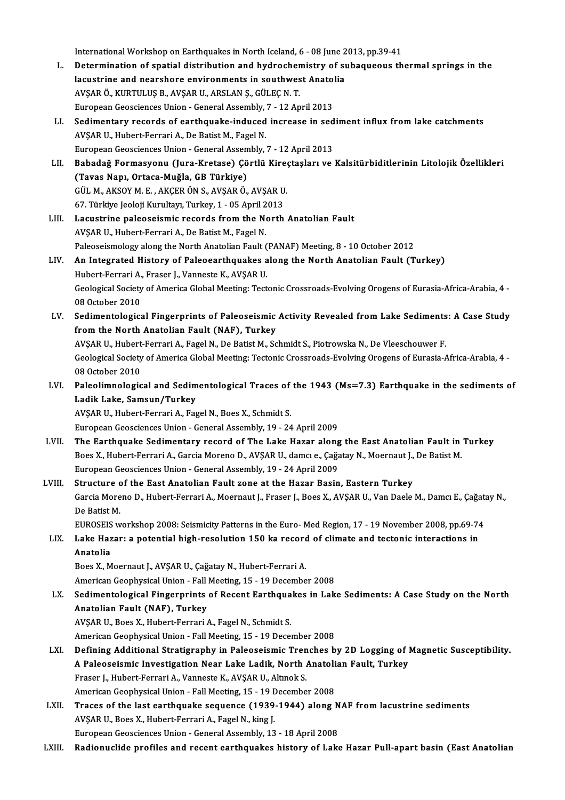International Workshop on Earthquakes in North Iceland, 6 - 08 June 2013, pp.39-41<br>Determination of anatial distribution and bydroshemistry of subasyeeve th

- L. Determination of spatial distribution and hydrochemistry of subaqueous thermal springs in the International Workshop on Earthquakes in North Iceland, 6 - 08 June 2<br>Determination of spatial distribution and hydrochemistry of su<br>lacustrine and nearshore environments in southwest Anatolia<br>AVSAR Ö, KURTULUS B, AVSAR U, AVŞARÖ.,KURTULUŞB.,AVŞARU.,ARSLANŞ.,GÜLEÇN.T. EuropeanGeosciencesUnion-GeneralAssembly,7 -12April2013 AVŞAR Ö., KURTULUŞ B., AVŞAR U., ARSLAN Ş., GÜLEÇ N. T.<br>European Geosciences Union - General Assembly, 7 - 12 April 2013<br>LI. Sedimentary records of earthquake-induced increase in sediment influx from lake catchments<br>AVSAR
- AVŞAR U., Hubert-Ferrari A., De Batist M., Fagel N.<br>European Geosciences Union General Assembly, 7 12 April 2013 Sedimentary records of earthquake-induced increase in sed<br>AVŞAR U., Hubert-Ferrari A., De Batist M., Fagel N.<br>European Geosciences Union - General Assembly, 7 - 12 April 2013<br>Bahadağ Fermasyonu (Jura Kratase) Cörtlü Kinest AVŞAR U., Hubert-Ferrari A., De Batist M., Fagel N.<br>European Geosciences Union - General Assembly, 7 - 12 April 2013<br>LII. Babadağ Formasyonu (Jura-Kretase) Çörtlü Kireçtaşları ve Kalsitürbiditlerinin Litolojik Özellikl
- European Geosciences Union General Assem<br>Babadağ Formasyonu (Jura-Kretase) Çö<br>(Tavas Napı, Ortaca-Muğla, GB Türkiye)<br>CÜL M AKSOVM E AKCERÖN S AKSARÖ Babadağ Formasyonu (Jura-Kretase) Çörtlü Kire<br>(Tavas Napı, Ortaca-Muğla, GB Türkiye)<br>GÜL M., AKSOY M. E. , AKÇER ÖN S., AVŞAR Ö., AVŞAR U.<br>67 Türkiye Jeoleji Kurultayı Turkey 1 , 05 April 2012 (Tavas Napı, Ortaca-Muğla, GB Türkiye)<br>GÜL M., AKSOY M. E. , AKÇER ÖN S., AVŞAR Ö., AVŞAR U.<br>67. Türkiye Jeoloji Kurultayı, Turkey, 1 - 05 April 2013
- LIII. Lacustrine paleoseismic records from the North Anatolian Fault AVŞAR U., Hubert-Ferrari A., De Batist M., Fagel N. Lacustrine paleoseismic records from the North Anatolian Fault<br>AVŞAR U., Hubert-Ferrari A., De Batist M., Fagel N.<br>Paleoseismology along the North Anatolian Fault (PANAF) Meeting, 8 - 10 October 2012<br>An Integrated History
- LIV. An Integrated History of Paleoearthquakes along the North Anatolian Fault (Turkey) Paleoseismology along the North Anatolian Fault (<br>An Integrated History of Paleoearthquakes a<br>Hubert-Ferrari A., Fraser J., Vanneste K., AVŞAR U.<br>Ceologiaal Sesiaty of America Clabel Meeting: Tect Geological Society of America Global Meeting: Tectonic Crossroads-Evolving Orogens of Eurasia-Africa-Arabia, 4 -<br>08 October 2010 Hubert Ferrari A., Fraser J., Vanneste K., AVŞAR U. Geological Society of America Global Meeting: Tectonic Crossroads-Evolving Orogens of Eurasia-Africa-Arabia, 4<br>198 October 2010<br>LV. Sedimentological Fingerprints of Paleoseismic Activity Revealed from Lake Sediments: A Cas
- 08 October 2010<br>Sedimentological Fingerprints of Paleoseismic<br>from the North Anatolian Fault (NAF), Turkey<br>AVSAP U. Hubort Forrari A. Fagel N. Do Batist M. So Sedimentological Fingerprints of Paleoseismic Activity Revealed from Lake Sediments<br>from the North Anatolian Fault (NAF), Turkey<br>AVŞAR U., Hubert-Ferrari A., Fagel N., De Batist M., Schmidt S., Piotrowska N., De Vleeschouw from the North Anatolian Fault (NAF), Turkey<br>AVŞAR U., Hubert-Ferrari A., Fagel N., De Batist M., Schmidt S., Piotrowska N., De Vleeschouwer F.<br>Geological Society of America Global Meeting: Tectonic Crossroads-Evolving Oro

AVŞAR U., Hubert<br>Geological Society<br>08 October 2010<br>Peleolimnologia Geological Society of America Global Meeting: Tectonic Crossroads-Evolving Orogens of Eurasia-Africa-Arabia, 4<br>198 October 2010<br>LVI. Paleolimnological and Sedimentological Traces of the 1943 (Ms=7.3) Earthquake in the sedi

08 October 2010<br>Paleolimnological and Sedim<br>Ladik Lake, Samsun/Turkey<br>AVSAP IL Hubert Ferreri A. Fee Paleolimnological and Sedimentological Traces of<br>Ladik Lake, Samsun/Turkey<br>AVŞAR U., Hubert-Ferrari A., Fagel N., Boes X., Schmidt S.<br>European Coossiances Union, Coneral Assembly, 19, 24 Ladik Lake, Samsun/Turkey<br>AVŞAR U., Hubert-Ferrari A., Fagel N., Boes X., Schmidt S.<br>European Geosciences Union - General Assembly, 19 - 24 April 2009

- AVŞAR U., Hubert-Ferrari A., Fagel N., Boes X., Schmidt S.<br>European Geosciences Union General Assembly, 19 24 April 2009<br>LVII. The Earthquake Sedimentary record of The Lake Hazar along the East Anatolian Fault in Turke European Geosciences Union - General Assembly, 19 - 24 April 2009<br>The Earthquake Sedimentary record of The Lake Hazar along the East Anatolian Fault in<br>Boes X., Hubert-Ferrari A., Garcia Moreno D., AVŞAR U., damcı e., Çağa The Earthquake Sedimentary record of The Lake Hazar along<br>Boes X., Hubert-Ferrari A., Garcia Moreno D., AVŞAR U., damcı e., Çağa<br>European Geosciences Union - General Assembly, 19 - 24 April 2009<br>Structure of the Fast Anate Boes X., Hubert-Ferrari A., Garcia Moreno D., AVŞAR U., damcı e., Çağatay N., Moernaut J.,<br>European Geosciences Union - General Assembly, 19 - 24 April 2009<br>LVIII. Structure of the East Anatolian Fault zone at the Hazar Ba
- European Geosciences Union General Assembly, 19 24 April 2009<br>Structure of the East Anatolian Fault zone at the Hazar Basin, Eastern Turkey<br>Garcia Moreno D., Hubert-Ferrari A., Moernaut J., Fraser J., Boes X., AVŞAR U. **Structure<br>Garcia More<br>De Batist M.<br>EUROSEIS :** Garcia Moreno D., Hubert-Ferrari A., Moernaut J., Fraser J., Boes X., AVȘAR U., Van Daele M., Damcı E., Çağat<br>De Batist M.<br>EUROSEIS workshop 2008: Seismicity Patterns in the Euro- Med Region, 17 - 19 November 2008, pp.69-7

EUROSEIS workshop 2008: Seismicity Patterns in the Euro- Med Region, 17 - 19 November 2008, pp.69-74

# De Batist M.<br>EUROSEIS workshop 2008: Seismicity Patterns in the Euro- Med Region, 17 - 19 November 2008, pp.69-7<br>LIX. Lake Hazar: a potential high-resolution 150 ka record of climate and tectonic interactions in<br>Anatol Anatolia<br>Boes X., Moernaut J., AVŞAR U., Çağatay N., Hubert-Ferrari A.<br>American Geophysical Union - Fall Meeting, 15 - 19 December 2008<br>Sedimentelegisel Fingernrints of Besent Farthauekes in Lek

Boes X., Moernaut J., AVŞAR U., Çağatay N., Hubert-Ferrari A.

LX. Sedimentological Fingerprints of Recent Earthquakes in Lake Sediments: A Case Study on the North American Geophysical Union - Fall<br>Sedimentological Fingerprints<br>Anatolian Fault (NAF), Turkey<br>AVSAP U. Boss X. Hubert Ferreri

AVŞAR U., Boes X., Hubert-Ferrari A., Fagel N., Schmidt S.

American Geophysical Union - Fall Meeting, 15 - 19 December 2008

- AVŞAR U., Boes X., Hubert-Ferrari A., Fagel N., Schmidt S.<br>American Geophysical Union Fall Meeting, 15 19 December 2008<br>LXI. Defining Additional Stratigraphy in Paleoseismic Trenches by 2D Logging of Magnetic Susceptib American Geophysical Union - Fall Meeting, 15 - 19 December 2008<br>Defining Additional Stratigraphy in Paleoseismic Trenches by 2D Logging of l<br>A Paleoseismic Investigation Near Lake Ladik, North Anatolian Fault, Turkey<br>Fras Defining Additional Stratigraphy in Paleoseismic Tren<br>A Paleoseismic Investigation Near Lake Ladik, North *I*<br>Fraser J., Hubert-Ferrari A., Vanneste K., AVŞAR U., Altınok S.<br>American Coophysical Union, Fall Meeting 15, 19 A Paleoseismic Investigation Near Lake Ladik, North Anatolian Fault, Turkey<br>Fraser J., Hubert-Ferrari A., Vanneste K., AVŞAR U., Altınok S.<br>American Geophysical Union - Fall Meeting, 15 - 19 December 2008 Fraser J., Hubert-Ferrari A., Vanneste K., AVŞAR U., Altınok S.<br>American Geophysical Union - Fall Meeting, 15 - 19 December 2008<br>LXII. Traces of the last earthquake sequence (1939-1944) along NAF from lacustrine sediments<br>
- American Geophysical Union Fall Meeting, 15 19 L<br>Traces of the last earthquake sequence (1939-<br>AVŞAR U., Boes X., Hubert-Ferrari A., Fagel N., king J.<br>Furonean Geograpee Union Ceneral Assembly, 12 Traces of the last earthquake sequence (1939-1944) along N<br>AVŞAR U., Boes X., Hubert-Ferrari A., Fagel N., king J.<br>European Geosciences Union - General Assembly, 13 - 18 April 2008<br>Pedianualida prafiles and resent earthqua AVŞAR U., Boes X., Hubert-Ferrari A., Fagel N., king J.<br>European Geosciences Union - General Assembly, 13 - 18 April 2008<br>LXIII. Radionuclide profiles and recent earthquakes history of Lake Hazar Pull-apart basin (East
-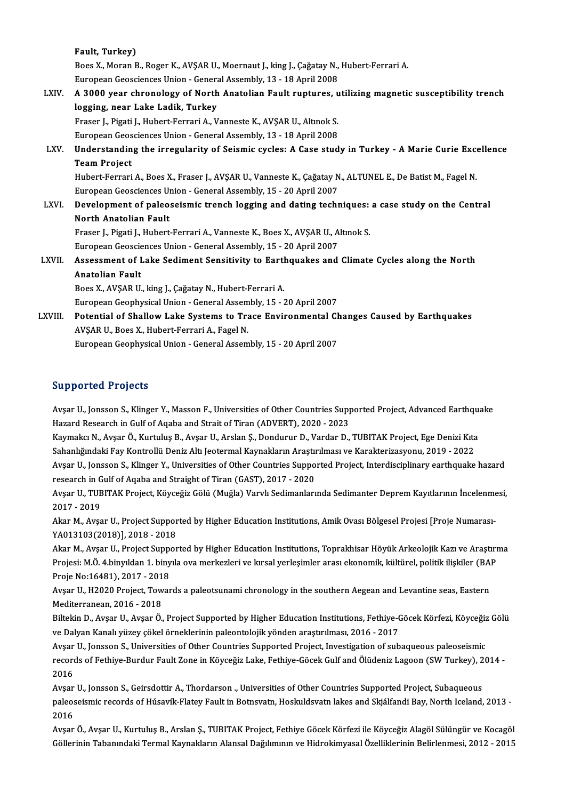Fault, Turkey) F<mark>ault, Turkey)</mark><br>Boes X., Moran B., Roger K., AVŞAR U., Moernaut J., king J., Çağatay N., Hubert-Ferrari A.<br>Euronean Geoegianees Union, "Coneral Assembly 13, 19 Anril 2009 Fault, Turkey)<br>Boes X., Moran B., Roger K., AVŞAR U., Moernaut J., king J., Çağatay N.,<br>European Geosciences Union - General Assembly, 13 - 18 April 2008<br>A. 3000 year shranalagy of Narth Anatalian Fault nuntures. v Boes X., Moran B., Roger K., AVŞAR U., Moernaut J., king J., Çağatay N., Hubert-Ferrari A.<br>European Geosciences Union - General Assembly, 13 - 18 April 2008<br>LXIV. A 3000 year chronology of North Anatolian Fault rupture European Geosciences Union - Genera<br>A 3000 year chronology of North<br>logging, near Lake Ladik, Turkey<br>Erasor L Bisati L Hubert Ferrari A. V A 3000 year chronology of North Anatolian Fault ruptures, u<br>logging, near Lake Ladik, Turkey<br>Fraser J., Pigati J., Hubert-Ferrari A., Vanneste K., AVŞAR U., Altınok S.<br>European Coossionees Union, Conoral Assembly, 13, 19 A logging, near Lake Ladik, Turkey<br>Fraser J., Pigati J., Hubert-Ferrari A., Vanneste K., AVSAR U., Altınok S. Fraser J., Pigati J., Hubert-Ferrari A., Vanneste K., AVŞAR U., Altınok S.<br>European Geosciences Union - General Assembly, 13 - 18 April 2008<br>LXV. Understanding the irregularity of Seismic cycles: A Case study in Turkey European Geosciences Union - General Assembly, 13 - 18 April 2008<br>Understanding the irregularity of Seismic cycles: A Case stud<br>Team Project Understanding the irregularity of Seismic cycles: A Case study in Turkey - A Marie Curie Excent<br>Team Project<br>Hubert-Ferrari A., Boes X., Fraser J., AVŞAR U., Vanneste K., Çağatay N., ALTUNEL E., De Batist M., Fagel N.<br>Euro Hubert-Ferrari A., Boes X., Fraser J., AVŞAR U., Vanneste K., Çağatay N., ALTUNEL E., De Batist M., Fagel N. LXVI. Development of paleoseismic trench logging and dating techniques: a case study on the Central European Geosciences Union - General Assembly, 15 - 20 April 2007 Development of paleoseismic trench logging and dating techniques:<br>North Anatolian Fault<br>Fraser J., Pigati J., Hubert-Ferrari A., Vanneste K., Boes X., AVŞAR U., Altınok S.<br>Furansan Cosssianses Unian, Canaral Assembly, 15,, North Anatolian Fault<br>Fraser J., Pigati J., Hubert-Ferrari A., Vanneste K., Boes X., AVŞAR U., A<br>European Geosciences Union - General Assembly, 15 - 20 April 2007<br>Assessment of Lake Sediment Sensitivity to Ferthauskes and LXVII. Assessment of Lake Sediment Sensitivity to Earthquakes and Climate Cycles along the North<br>Anatolian Fault European Geosciences Union - General Assembly, 15 - 20 April 2007 Boes X., AVŞAR U., king J., Çağatay N., Hubert-Ferrari A. European Geophysical Union - General Assembly, 15 - 20 April 2007 Boes X., AVŞAR U., king J., Çağatay N., Hubert-Ferrari A.<br>European Geophysical Union - General Assembly, 15 - 20 April 2007<br>LXVIII. Potential of Shallow Lake Systems to Trace Environmental Changes Caused by Earthquakes European Geophysical Union - General Assem<br>Potential of Shallow Lake Systems to Tra<br>AVŞAR U., Boes X., Hubert-Ferrari A., Fagel N.<br>European Coophysical Union, Coneral Assem Potential of Shallow Lake Systems to Trace Environmental Cl<br>AVŞAR U., Boes X., Hubert-Ferrari A., Fagel N.<br>European Geophysical Union - General Assembly, 15 - 20 April 2007 European Geophysical Union - General Assembly, 15 - 20 April 2007<br>Supported Projects

Supported Projects<br>Avşar U., Jonsson S., Klinger Y., Masson F., Universities of Other Countries Supported Project, Advanced Earthquake<br>Hagard Bosearsh in Culf of Agaba and Strait of Tirar (ADVEBT), 2020, 2022 Bupported 119jeers<br>Avşar U., Jonsson S., Klinger Y., Masson F., Universities of Other Countries Supp<br>Hazard Research in Gulf of Aqaba and Strait of Tiran (ADVERT), 2020 - 2023<br>Kaymaka N., Avaar Ö. Kurtulus B., Avaar H. Ars Avşar U., Jonsson S., Klinger Y., Masson F., Universities of Other Countries Supported Project, Advanced Earthqu<br>Hazard Research in Gulf of Aqaba and Strait of Tiran (ADVERT), 2020 - 2023<br>Kaymakcı N., Avşar Ö., Kurtuluş B.

Hazard Research in Gulf of Aqaba and Strait of Tiran (ADVERT), 2020 - 2023<br>Kaymakcı N., Avşar Ö., Kurtuluş B., Avşar U., Arslan Ş., Dondurur D., Vardar D., TUBITAK Project, Ege Denizi Kıta<br>Sahanlığındaki Fay Kontrollü Deni Kaymakcı N., Avşar Ö., Kurtuluş B., Avşar U., Arslan Ş., Dondurur D., Vardar D., TUBITAK Project, Ege Denizi Kıta<br>Sahanlığındaki Fay Kontrollü Deniz Altı Jeotermal Kaynakların Araştırılması ve Karakterizasyonu, 2019 - 2022 Sahanlığındaki Fay Kontrollü Deniz Altı Jeotermal Kaynakların Araştı<br>Avşar U., Jonsson S., Klinger Y., Universities of Other Countries Suppo<br>research in Gulf of Aqaba and Straight of Tiran (GAST), 2017 - 2020<br>Avgar U. TUPI Avşar U., Jonsson S., Klinger Y., Universities of Other Countries Supported Project, Interdisciplinary earthquake hazard<br>research in Gulf of Aqaba and Straight of Tiran (GAST), 2017 - 2020<br>Avşar U., TUBITAK Project, Köyceğ research in Gulf of Aqaba and Straight of Tiran (GAST), 2017 - 2020

Avşar U., TUBITAK Project, Köyceğiz Gölü (Muğla) Varvlı Sedimanlarında Sedimanter Deprem Kayıtlarının İncelenm<br>2017 - 2019<br>Akar M., Avşar U., Project Supported by Higher Education Institutions, Amik Ovası Bölgesel Projesi

2017 - 2019<br>Akar M., Avşar U., Project Suppor<br>YA013103(2018)], 2018 - 2018<br>Akar M. Avsar II. Project Suppor Akar M., Avşar U., Project Supported by Higher Education Institutions, Amik Ovası Bölgesel Projesi [Proje Numarası-<br>YA013103(2018)], 2018 - 2018<br>Akar M., Avşar U., Project Supported by Higher Education Institutions, Toprak

YA013103(2018)], 2018 - 2018<br>Akar M., Avşar U., Project Supported by Higher Education Institutions, Toprakhisar Höyük Arkeolojik Kazı ve Araştırma<br>Projesi: M.Ö. 4.binyıldan 1. binyıla ova merkezleri ve kırsal yerleşimler a Proje No:16481), 2017 - 2018 Projesi: M.Ö. 4.binyıldan 1. binyıla ova merkezleri ve kırsal yerleşimler arası ekonomik, kültürel, politik ilişkiler (BAl<br>Proje No:16481), 2017 - 2018<br>Avşar U., H2020 Project, Towards a paleotsunami chronology in the sout

Proje No:16481), 2017 - 201<br>Avşar U., H2020 Project, Tow<br>Mediterranean, 2016 - 2018<br>Biltekin D., Avsar U., Avsar Ö. Avşar U., H2020 Project, Towards a paleotsunami chronology in the southern Aegean and Levantine seas, Eastern<br>Mediterranean, 2016 - 2018<br>Biltekin D., Avşar U., Avşar Ö., Project Supported by Higher Education Institutions,

Mediterranean, 2016 - 2018<br>Biltekin D., Avşar U., Avşar Ö., Project Supported by Higher Education Institutions, Fethiye-C<br>ve Dalyan Kanalı yüzey çökel örneklerinin paleontolojik yönden araştırılması, 2016 - 2017<br>Avsar U. J Biltekin D., Avşar U., Avşar Ö., Project Supported by Higher Education Institutions, Fethiye-Göcek Körfezi, Köyceğiz<br>ve Dalyan Kanalı yüzey çökel örneklerinin paleontolojik yönden araştırılması, 2016 - 2017<br>Avşar U., Jonss

ve Dalyan Kanalı yüzey çökel örneklerinin paleontolojik yönden araştırılması, 2016 - 2017<br>Avşar U., Jonsson S., Universities of Other Countries Supported Project, Investigation of subaqueous paleoseismic<br>records of Fethiye Avşar<br>record<br>2016 records of Fethiye-Burdur Fault Zone in Köyceğiz Lake, Fethiye-Göcek Gulf and Ölüdeniz Lagoon (SW Turkey), 2<br>2016<br>Avşar U., Jonsson S., Geirsdottir A., Thordarson., Universities of Other Countries Supported Project, Subaqu

2016<br>Avşar U., Jonsson S., Geirsdottir A., Thordarson ., Universities of Other Countries Supported Project, Subaqueous<br>paleoseismic records of Húsavík-Flatey Fault in Botnsvatn, Hoskuldsvatn lakes and Skjálfandi Bay, North Avşar<br>paleos<br>2016 paleoseismic records of Húsavík-Flatey Fault in Botnsvatn, Hoskuldsvatn lakes and Skjálfandi Bay, North Iceland, 2013 -<br>2016<br>Avşar Ö., Avşar U., Kurtuluş B., Arslan Ş., TUBITAK Project, Fethiye Göcek Körfezi ile Köyceğiz A

2016<br>Avşar Ö., Avşar U., Kurtuluş B., Arslan Ş., TUBITAK Project, Fethiye Göcek Körfezi ile Köyceğiz Alagöl Sülüngür ve Kocagöl<br>Göllerinin Tabanındaki Termal Kaynakların Alansal Dağılımının ve Hidrokimyasal Özelliklerinin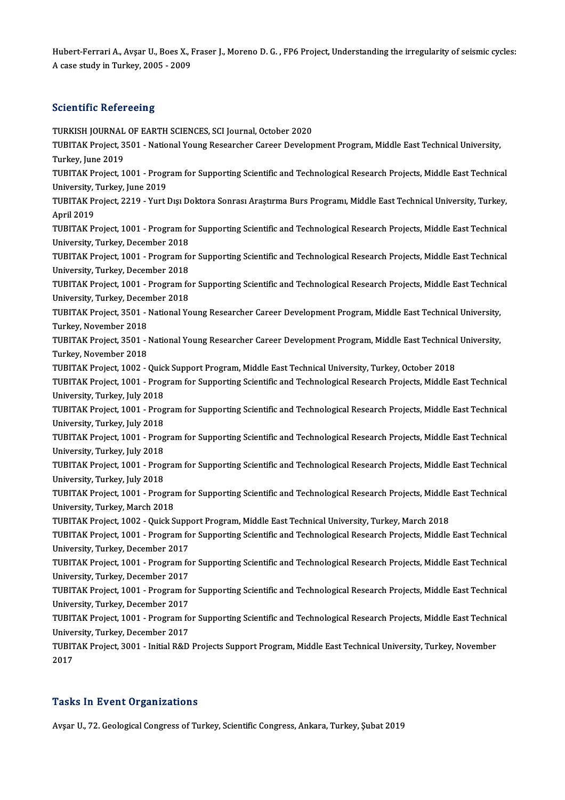Hubert-Ferrari A., Avşar U., Boes X., Fraser J., Moreno D. G. , FP6 Project, Understanding the irregularity of seismic cycles:<br>A sees study in Turkey, 2005, 2009. Hubert-Ferrari A., Avşar U., Boes X., I<br>A case study in Turkey, 2005 - 2009 A case study in Turkey, 2005 - 2009<br>Scientific Refereeing

Scientific Refereeing<br>TURKISH JOURNAL OF EARTH SCIENCES, SCI Journal, October 2020<br>TURITAK Preject 3501 - National Young Besearcher Career Davelon Beforming Refereening<br>TURKISH JOURNAL OF EARTH SCIENCES, SCI Journal, October 2020<br>TUBITAK Project, 3501 - National Young Researcher Career Development Program, Middle East Technical University, TURKISH JOURNAL<br>TUBITAK Project, 3<br>Turkey, June 2019<br>TUBITAK Project, 1 TUBITAK Project, 3501 - National Young Researcher Career Development Program, Middle East Technical University,<br>Turkey, June 2019<br>TUBITAK Project, 1001 - Program for Supporting Scientific and Technological Research Project Turkey, June 2019<br>TUBITAK Project, 1001 - Program for Supporting Scientific and Technological Research Projects, Middle East Technical<br>University, Turkey, June 2019 TUBITAK Project, 1001 - Program for Supporting Scientific and Technological Research Projects, Middle East Technical<br>University, Turkey, June 2019<br>TUBITAK Project, 2219 - Yurt Dışı Doktora Sonrası Araştırma Burs Programı, University,<br>TUBITAK P1<br>April 2019<br>TUBITAK P1 TUBITAK Project, 2219 - Yurt Dışı Doktora Sonrası Araştırma Burs Programı, Middle East Technical University, Turkey,<br>April 2019<br>TUBITAK Project, 1001 - Program for Supporting Scientific and Technological Research Projects, April 2019<br>TUBITAK Project, 1001 - Program for Supporting Scientific and Technological Research Projects, Middle East Technical<br>University, Turkey, December 2018 TUBITAK Project, 1001 - Program for Supporting Scientific and Technological Research Projects, Middle East Technical<br>University, Turkey, December 2018<br>TUBITAK Project, 1001 - Program for Supporting Scientific and Technolog University, Turkey, December 2018<br>TUBITAK Project, 1001 - Program fo<br>University, Turkey, December 2018<br>TUBITAK Project, 1001 - Program fo TUBITAK Project, 1001 - Program for Supporting Scientific and Technological Research Projects, Middle East Technical<br>University, Turkey, December 2018<br>TUBITAK Project, 1001 - Program for Supporting Scientific and Technolog University, Turkey, December 2018<br>TUBITAK Project, 1001 - Program fo<br>University, Turkey, December 2018<br>TUBITAK Project, 2501 - National Ve TUBITAK Project, 1001 - Program for Supporting Scientific and Technological Research Projects, Middle East Technica<br>University, Turkey, December 2018<br>TUBITAK Project, 3501 - National Young Researcher Career Development Pro University, Turkey, December 2018<br>TUBITAK Project, 3501 - National Young Researcher Career Development Program, Middle East Technical University,<br>Turkey, November 2018 TUBITAK Project, 3501 - National Young Researcher Career Development Program, Middle East Technical University,<br>Turkey, November 2018<br>TUBITAK Project, 3501 - National Young Researcher Career Development Program, Middle Eas Turkey, November 2018<br>TUBITAK Project, 3501 - J<br>Turkey, November 2018<br>TUBITAK Project 1002 TUBITAK Project, 3501 - National Young Researcher Career Development Program, Middle East Technical<br>Turkey, November 2018<br>TUBITAK Project, 1002 - Quick Support Program, Middle East Technical University, Turkey, October 201 Turkey, November 2018<br>TUBITAK Project, 1002 - Quick Support Program, Middle East Technical University, Turkey, October 2018<br>TUBITAK Project, 1001 - Program for Supporting Scientific and Technological Research Projects, Mid TUBITAK Project, 1002 - Quicl<br>TUBITAK Project, 1001 - Prog<br>University, Turkey, July 2018<br>TUBITAK Project, 1001 - Prog TUBITAK Project, 1001 - Program for Supporting Scientific and Technological Research Projects, Middle East Technical<br>University, Turkey, July 2018<br>TUBITAK Project, 1001 - Program for Supporting Scientific and Technological University, Turkey, July 2018<br>TUBITAK Project, 1001 - Program for Supporting Scientific and Technological Research Projects, Middle East Technical<br>University, Turkey, July 2018 TUBITAK Project, 1001 - Program for Supporting Scientific and Technological Research Projects, Middle East Technical<br>University, Turkey, July 2018<br>TUBITAK Project, 1001 - Program for Supporting Scientific and Technological University, Turkey, July 2018<br>TUBITAK Project, 1001 - Prog<br>University, Turkey, July 2018<br>TUBITAK Project, 1001 - Prog TUBITAK Project, 1001 - Program for Supporting Scientific and Technological Research Projects, Middle East Technical<br>University, Turkey, July 2018<br>TUBITAK Project, 1001 - Program for Supporting Scientific and Technological University, Turkey, July 2018<br>TUBITAK Project, 1001 - Prog<br>University, Turkey, July 2018<br>TUBITAK Project, 1001 - Prog TUBITAK Project, 1001 - Program for Supporting Scientific and Technological Research Projects, Middle East Technical<br>University, Turkey, July 2018<br>TUBITAK Project, 1001 - Program for Supporting Scientific and Technological University, Turkey, July 2018<br>TUBITAK Project, 1001 - Progral<br>University, Turkey, March 2018<br>TUBITAK Project, 1003 - Quick S TUBITAK Project, 1001 - Program for Supporting Scientific and Technological Research Projects, Middle<br>University, Turkey, March 2018<br>TUBITAK Project, 1002 - Quick Support Program, Middle East Technical University, Turkey, University, Turkey, March 2018<br>TUBITAK Project, 1002 - Quick Support Program, Middle East Technical University, Turkey, March 2018<br>TUBITAK Project, 1001 - Program for Supporting Scientific and Technological Research Projec TUBITAK Project, 1002 - Quick Supp<br>TUBITAK Project, 1001 - Program fo<br>University, Turkey, December 2017<br>TUBITAK Project, 1001 - Program fo TUBITAK Project, 1001 - Program for Supporting Scientific and Technological Research Projects, Middle East Technical<br>University, Turkey, December 2017<br>TUBITAK Project, 1001 - Program for Supporting Scientific and Technolog University, Turkey, December 2017<br>TUBITAK Project, 1001 - Program fo<br>University, Turkey, December 2017<br>TUBITAK Project, 1001 - Program fo TUBITAK Project, 1001 - Program for Supporting Scientific and Technological Research Projects, Middle East Technical<br>University, Turkey, December 2017<br>TUBITAK Project, 1001 - Program for Supporting Scientific and Technolog University, Turkey, December 2017<br>TUBITAK Project, 1001 - Program fo<br>University, Turkey, December 2017<br>TUBITAK Project, 1001 - Program fo TUBITAK Project, 1001 - Program for Supporting Scientific and Technological Research Projects, Middle East Technical<br>University, Turkey, December 2017<br>TUBITAK Project, 1001 - Program for Supporting Scientific and Technolog TUBITAK Project, 1001 - Program for Supporting Scientific and Technological Research Projects, Middle East Technical TUBITAK Project, 1001 - Program for Supporting Scientific and Technological Research Projects, Middle East Technic<br>University, Turkey, December 2017<br>TUBITAK Project, 3001 - Initial R&D Projects Support Program, Middle East Univer<br>TUBIT<br>2017 2017<br>Tasks In Event Organizations

Avşar U., 72. Geological Congress of Turkey, Scientific Congress, Ankara, Turkey, Şubat 2019